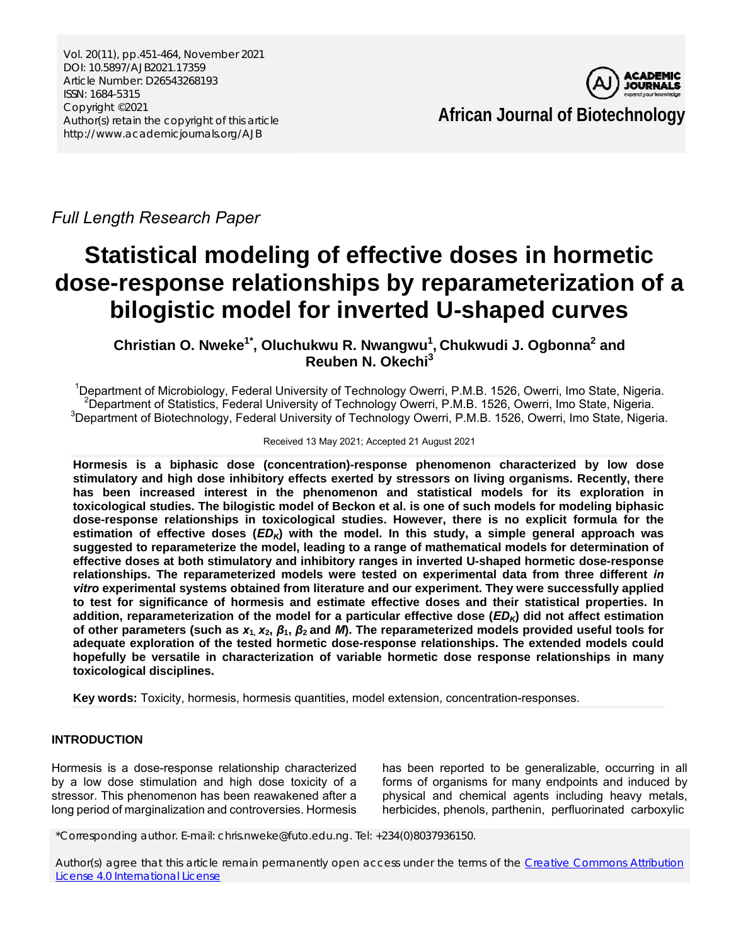Vol. 20(11), pp.451-464, November 2021 DOI: 10.5897/AJB2021.17359 Article Number: D26543268193 ISSN: 1684-5315 Copyright ©2021 Author(s) retain the copyright of this article http://www.academicjournals.org/AJB



*Full Length Research Paper* 

# **Statistical modeling of effective doses in hormetic dose-response relationships by reparameterization of a bilogistic model for inverted U-shaped curves**

**Christian O. Nweke1\*, Oluchukwu R. Nwangwu1 , Chukwudi J. Ogbonna2 and Reuben N. Okechi<sup>3</sup>**

<sup>1</sup>Department of Microbiology, Federal University of Technology Owerri, P.M.B. 1526, Owerri, Imo State, Nigeria.<br><sup>2</sup>Department of Statistics, Eaderal University of Technology Owerri, B.M.B. 1526, Owerri, Imo State, Nigeria <sup>2</sup>Department of Statistics, Federal University of Technology Owerri, P.M.B. 1526, Owerri, Imo State, Nigeria. <sup>3</sup>Department of Biotechnology, Federal University of Technology Owerri, P.M.B. 1526, Owerri, Imo State, Nigeria.

Received 13 May 2021; Accepted 21 August 2021

**Hormesis is a biphasic dose (concentration)-response phenomenon characterized by low dose stimulatory and high dose inhibitory effects exerted by stressors on living organisms. Recently, there has been increased interest in the phenomenon and statistical models for its exploration in toxicological studies. The bilogistic model of Beckon et al. is one of such models for modeling biphasic dose-response relationships in toxicological studies. However, there is no explicit formula for the estimation of effective doses (***EDK***) with the model. In this study, a simple general approach was suggested to reparameterize the model, leading to a range of mathematical models for determination of effective doses at both stimulatory and inhibitory ranges in inverted U-shaped hormetic dose-response relationships. The reparameterized models were tested on experimental data from three different** *in vitro* **experimental systems obtained from literature and our experiment. They were successfully applied to test for significance of hormesis and estimate effective doses and their statistical properties. In addition, reparameterization of the model for a particular effective dose (***EDK***) did not affect estimation of other parameters (such as** *x***1***, x***2,** *β***1,** *β***2 and** *M***). The reparameterized models provided useful tools for adequate exploration of the tested hormetic dose-response relationships. The extended models could hopefully be versatile in characterization of variable hormetic dose response relationships in many toxicological disciplines.** 

**Key words:** Toxicity, hormesis, hormesis quantities, model extension, concentration-responses.

# **INTRODUCTION**

Hormesis is a dose-response relationship characterized by a low dose stimulation and high dose toxicity of a stressor. This phenomenon has been reawakened after a long period of marginalization and controversies. Hormesis has been reported to be generalizable, occurring in all forms of organisms for many endpoints and induced by physical and chemical agents including heavy metals, herbicides, phenols, parthenin, perfluorinated carboxylic

\*Corresponding author. E-mail: chris.nweke@futo.edu.ng. Tel: +234(0)8037936150.

Author(s) agree that this article remain permanently open access under the terms of the Creative Commons Attribution License 4.0 International License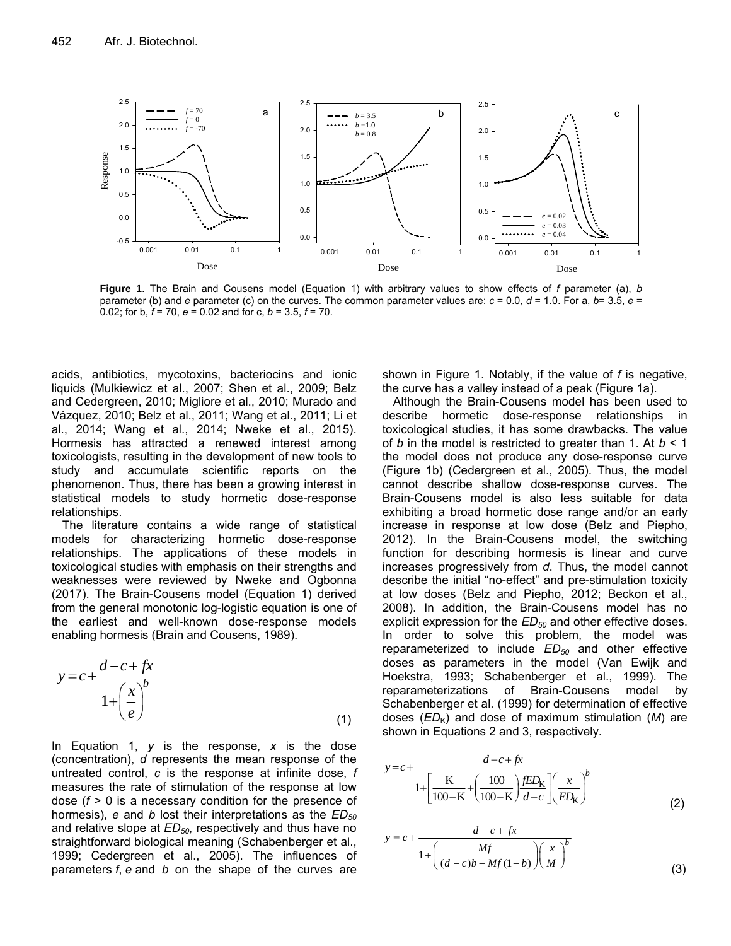

**Figure 1**. The Brain and Cousens model (Equation 1) with arbitrary values to show effects of *f* parameter (a), *b*  parameter (b) and *e* parameter (c) on the curves. The common parameter values are: *c* = 0.0, *d* = 1.0. For a, *b*= 3.5, *e* = 0.02; for b, *f* = 70, *e* = 0.02 and for c, *b* = 3.5, *f* = 70.

acids, antibiotics, mycotoxins, bacteriocins and ionic liquids (Mulkiewicz et al., 2007; Shen et al., 2009; Belz and Cedergreen, 2010; Migliore et al., 2010; Murado and Vázquez, 2010; Belz et al., 2011; Wang et al., 2011; Li et al., 2014; Wang et al., 2014; Nweke et al., 2015). Hormesis has attracted a renewed interest among toxicologists, resulting in the development of new tools to study and accumulate scientific reports on the phenomenon. Thus, there has been a growing interest in statistical models to study hormetic dose-response relationships.

The literature contains a wide range of statistical models for characterizing hormetic dose-response relationships. The applications of these models in toxicological studies with emphasis on their strengths and weaknesses were reviewed by Nweke and Ogbonna (2017). The Brain-Cousens model (Equation 1) derived from the general monotonic log-logistic equation is one of the earliest and well-known dose-response models enabling hormesis (Brain and Cousens, 1989).

$$
y = c + \frac{d - c + fx}{1 + \left(\frac{x}{e}\right)^b}
$$
\n(1)

In Equation 1, *y* is the response, *x* is the dose (concentration), *d* represents the mean response of the untreated control, *c* is the response at infinite dose, *f* measures the rate of stimulation of the response at low dose (*f* > 0 is a necessary condition for the presence of hormesis), *e* and *b* lost their interpretations as the *ED<sub>50</sub>* and relative slope at  $ED_{50}$ , respectively and thus have no straightforward biological meaning (Schabenberger et al., 1999; Cedergreen et al., 2005). The influences of parameters *f*, *e* and *b* on the shape of the curves are

shown in Figure 1. Notably, if the value of *f* is negative, the curve has a valley instead of a peak (Figure 1a).

Although the Brain-Cousens model has been used to describe hormetic dose-response relationships in toxicological studies, it has some drawbacks. The value of *b* in the model is restricted to greater than 1. At *b* < 1 the model does not produce any dose-response curve (Figure 1b) (Cedergreen et al., 2005). Thus, the model cannot describe shallow dose-response curves. The Brain-Cousens model is also less suitable for data exhibiting a broad hormetic dose range and/or an early increase in response at low dose (Belz and Piepho, 2012). In the Brain-Cousens model, the switching function for describing hormesis is linear and curve increases progressively from *d*. Thus, the model cannot describe the initial "no-effect" and pre-stimulation toxicity at low doses (Belz and Piepho, 2012; Beckon et al., 2008). In addition, the Brain-Cousens model has no explicit expression for the *ED<sub>50</sub>* and other effective doses. In order to solve this problem, the model was reparameterized to include *ED<sub>50</sub>* and other effective doses as parameters in the model (Van Ewijk and Hoekstra, 1993; Schabenberger et al., 1999). The reparameterizations of Brain-Cousens model by Schabenberger et al. (1999) for determination of effective doses  $(ED_K)$  and dose of maximum stimulation  $(M)$  are shown in Equations 2 and 3, respectively.

$$
y = c + \frac{d - c + fx}{1 + \left[\frac{K}{100 - K} + \left(\frac{100}{100 - K}\right) \frac{fED_K}{d - c}\right] \left(\frac{x}{ED_K}\right)^b}
$$
(2)

$$
y = c + \frac{d - c + fx}{1 + \left(\frac{Mf}{(d - c)b - Mf(1 - b)}\right)\left(\frac{x}{M}\right)^b}
$$
(3)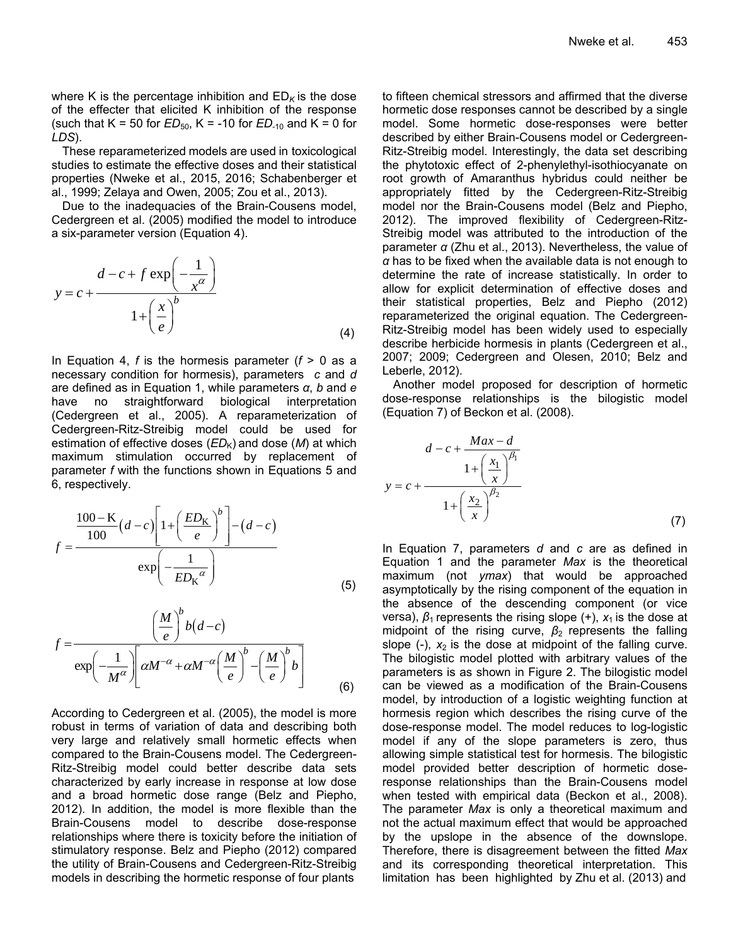where K is the percentage inhibition and  $ED_K$  is the dose of the effecter that elicited K inhibition of the response (such that  $K = 50$  for  $ED_{50}$ ,  $K = -10$  for  $ED_{-10}$  and  $K = 0$  for *LDS*).

These reparameterized models are used in toxicological studies to estimate the effective doses and their statistical properties (Nweke et al., 2015, 2016; Schabenberger et al., 1999; Zelaya and Owen, 2005; Zou et al., 2013).

Due to the inadequacies of the Brain-Cousens model, Cedergreen et al. (2005) modified the model to introduce a six-parameter version (Equation 4).

$$
y = c + \frac{d - c + f \exp\left(-\frac{1}{x^{\alpha}}\right)}{1 + \left(\frac{x}{e}\right)^b}
$$
(4)

In Equation 4, *f* is the hormesis parameter (*f* > 0 as a necessary condition for hormesis), parameters *c* and *d* are defined as in Equation 1, while parameters *α*, *b* and *e* have no straightforward biological interpretation (Cedergreen et al., 2005). A reparameterization of Cedergreen-Ritz-Streibig model could be used for estimation of effective doses  $(ED_K)$  and dose  $(M)$  at which maximum stimulation occurred by replacement of parameter *f* with the functions shown in Equations 5 and 6, respectively.

$$
f = \frac{\frac{100 - \text{K}}{100} (d - c) \left[ 1 + \left( \frac{ED_{\text{K}}}{e} \right)^b \right] - (d - c)}{\exp \left( -\frac{1}{ED_{\text{K}}^{\alpha}} \right)}
$$
(5)

$$
f = \frac{\left(\frac{M}{e}\right)^{b} b(d-c)}{\exp\left(-\frac{1}{M^{\alpha}}\right)} \left[\alpha M^{-\alpha} + \alpha M^{-\alpha} \left(\frac{M}{e}\right)^{b} - \left(\frac{M}{e}\right)^{b} b\right]
$$
(6)

According to Cedergreen et al. (2005), the model is more robust in terms of variation of data and describing both very large and relatively small hormetic effects when compared to the Brain-Cousens model. The Cedergreen-Ritz-Streibig model could better describe data sets characterized by early increase in response at low dose and a broad hormetic dose range (Belz and Piepho, 2012). In addition, the model is more flexible than the Brain-Cousens model to describe dose-response relationships where there is toxicity before the initiation of stimulatory response. Belz and Piepho (2012) compared the utility of Brain-Cousens and Cedergreen-Ritz-Streibig models in describing the hormetic response of four plants

to fifteen chemical stressors and affirmed that the diverse hormetic dose responses cannot be described by a single model. Some hormetic dose-responses were better described by either Brain-Cousens model or Cedergreen-Ritz-Streibig model. Interestingly, the data set describing the phytotoxic effect of 2-phenylethyl-isothiocyanate on root growth of Amaranthus hybridus could neither be appropriately fitted by the Cedergreen-Ritz-Streibig model nor the Brain-Cousens model (Belz and Piepho, 2012). The improved flexibility of Cedergreen-Ritz-Streibig model was attributed to the introduction of the parameter *α* (Zhu et al., 2013). Nevertheless, the value of *α* has to be fixed when the available data is not enough to determine the rate of increase statistically. In order to allow for explicit determination of effective doses and their statistical properties, Belz and Piepho (2012) reparameterized the original equation. The Cedergreen-Ritz-Streibig model has been widely used to especially describe herbicide hormesis in plants (Cedergreen et al., 2007; 2009; Cedergreen and Olesen, 2010; Belz and Leberle, 2012).

Another model proposed for description of hormetic dose-response relationships is the bilogistic model (Equation 7) of Beckon et al. (2008).

$$
d - c + \frac{Max - d}{1 + \left(\frac{x_1}{x}\right)^{\beta_1}}
$$
  

$$
y = c + \frac{1 + \left(\frac{x_2}{x}\right)^{\beta_2}}{1 + \left(\frac{x_2}{x}\right)^{\beta_2}}
$$
 (7)

In Equation 7, parameters *d* and *c* are as defined in Equation 1 and the parameter *Max* is the theoretical maximum (not *ymax*) that would be approached asymptotically by the rising component of the equation in the absence of the descending component (or vice versa),  $\beta_1$  represents the rising slope (+),  $x_1$  is the dose at midpoint of the rising curve, *β*2 represents the falling slope  $(-)$ ,  $x_2$  is the dose at midpoint of the falling curve. The bilogistic model plotted with arbitrary values of the parameters is as shown in Figure 2. The bilogistic model can be viewed as a modification of the Brain-Cousens model, by introduction of a logistic weighting function at hormesis region which describes the rising curve of the dose-response model. The model reduces to log-logistic model if any of the slope parameters is zero, thus allowing simple statistical test for hormesis. The bilogistic model provided better description of hormetic doseresponse relationships than the Brain-Cousens model when tested with empirical data (Beckon et al., 2008). The parameter *Max* is only a theoretical maximum and not the actual maximum effect that would be approached by the upslope in the absence of the downslope. Therefore, there is disagreement between the fitted *Max* and its corresponding theoretical interpretation. This limitation has been highlighted by Zhu et al. (2013) and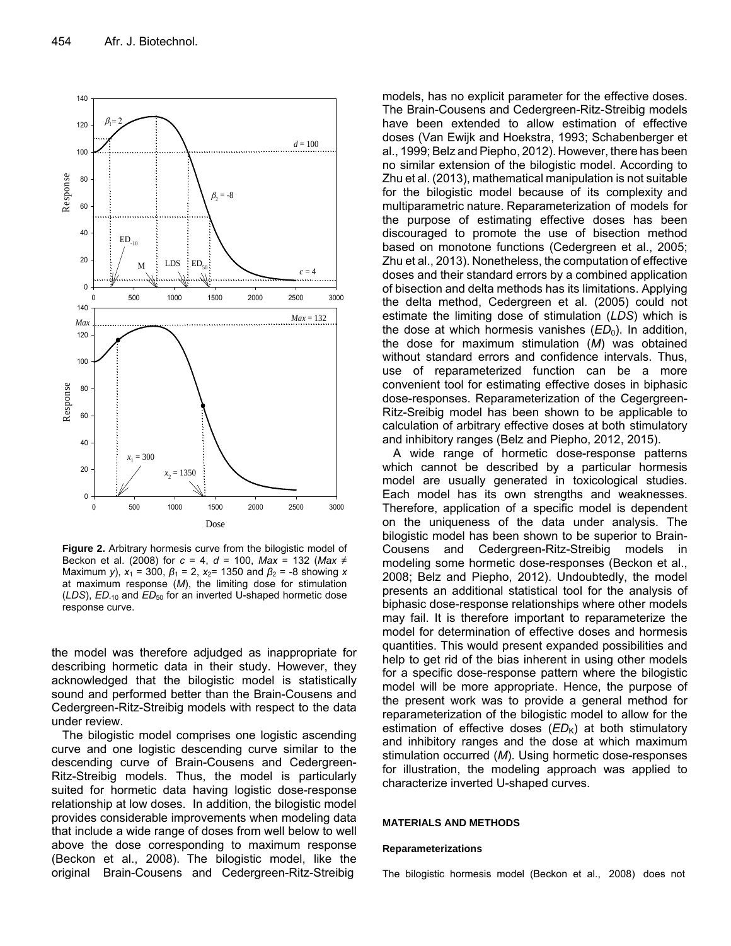

**Figure 2.** Arbitrary hormesis curve from the bilogistic model of Beckon et al. (2008) for *c* = 4, *d* = 100, *Max* = 132 (*Max* ≠ Maximum *y*),  $x_1 = 300$ ,  $β_1 = 2$ ,  $x_2 = 1350$  and  $β_2 = -8$  showing *x* at maximum response (*M*), the limiting dose for stimulation (*LDS*), *ED*-10 and *ED*50 for an inverted U-shaped hormetic dose response curve.

the model was therefore adjudged as inappropriate for describing hormetic data in their study. However, they acknowledged that the bilogistic model is statistically sound and performed better than the Brain-Cousens and Cedergreen-Ritz-Streibig models with respect to the data under review.

The bilogistic model comprises one logistic ascending curve and one logistic descending curve similar to the descending curve of Brain-Cousens and Cedergreen-Ritz-Streibig models. Thus, the model is particularly suited for hormetic data having logistic dose-response relationship at low doses. In addition, the bilogistic model provides considerable improvements when modeling data that include a wide range of doses from well below to well above the dose corresponding to maximum response (Beckon et al., 2008). The bilogistic model, like the original Brain-Cousens and Cedergreen-Ritz-Streibig

models, has no explicit parameter for the effective doses. The Brain-Cousens and Cedergreen-Ritz-Streibig models have been extended to allow estimation of effective doses (Van Ewijk and Hoekstra, 1993; Schabenberger et al., 1999; Belz and Piepho, 2012). However, there has been no similar extension of the bilogistic model. According to Zhu et al. (2013), mathematical manipulation is not suitable for the bilogistic model because of its complexity and multiparametric nature. Reparameterization of models for the purpose of estimating effective doses has been discouraged to promote the use of bisection method based on monotone functions (Cedergreen et al., 2005; Zhu et al., 2013). Nonetheless, the computation of effective doses and their standard errors by a combined application of bisection and delta methods has its limitations. Applying the delta method, Cedergreen et al. (2005) could not estimate the limiting dose of stimulation (*LDS*) which is the dose at which hormesis vanishes  $(ED<sub>0</sub>)$ . In addition, the dose for maximum stimulation (*M*) was obtained without standard errors and confidence intervals. Thus, use of reparameterized function can be a more convenient tool for estimating effective doses in biphasic dose-responses. Reparameterization of the Cegergreen-Ritz-Sreibig model has been shown to be applicable to calculation of arbitrary effective doses at both stimulatory and inhibitory ranges (Belz and Piepho, 2012, 2015).

A wide range of hormetic dose-response patterns which cannot be described by a particular hormesis model are usually generated in toxicological studies. Each model has its own strengths and weaknesses. Therefore, application of a specific model is dependent on the uniqueness of the data under analysis. The bilogistic model has been shown to be superior to Brain-Cousens and Cedergreen-Ritz-Streibig models in modeling some hormetic dose-responses (Beckon et al., 2008; Belz and Piepho, 2012). Undoubtedly, the model presents an additional statistical tool for the analysis of biphasic dose-response relationships where other models may fail. It is therefore important to reparameterize the model for determination of effective doses and hormesis quantities. This would present expanded possibilities and help to get rid of the bias inherent in using other models for a specific dose-response pattern where the bilogistic model will be more appropriate. Hence, the purpose of the present work was to provide a general method for reparameterization of the bilogistic model to allow for the estimation of effective doses  $(ED_K)$  at both stimulatory and inhibitory ranges and the dose at which maximum stimulation occurred (*M*). Using hormetic dose-responses for illustration, the modeling approach was applied to characterize inverted U-shaped curves.

#### **MATERIALS AND METHODS**

#### **Reparameterizations**

The bilogistic hormesis model (Beckon et al., 2008) does not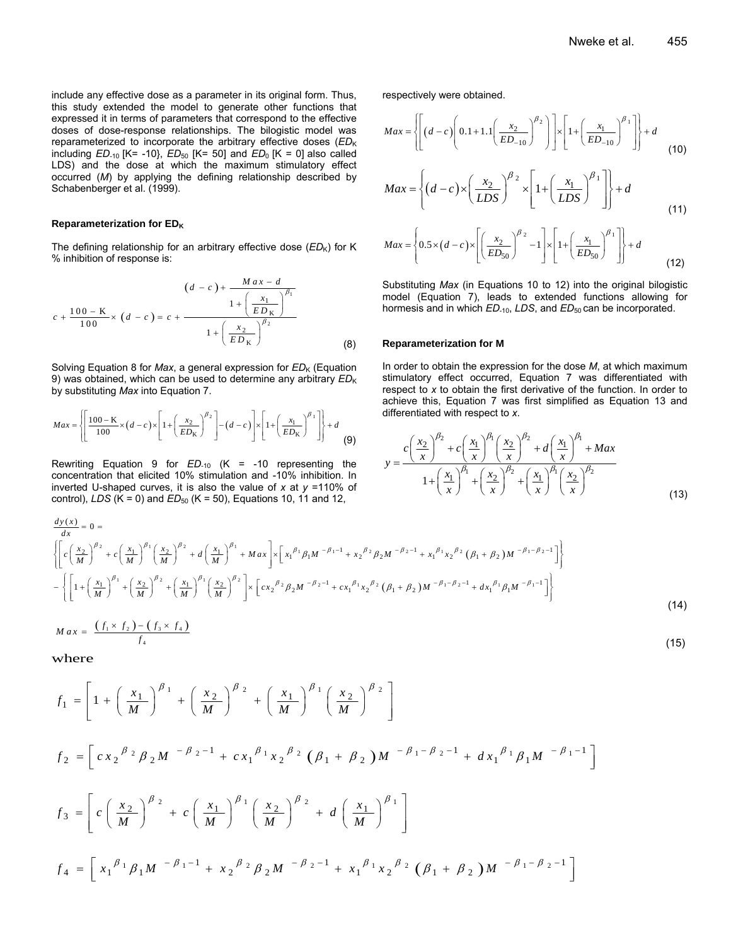include any effective dose as a parameter in its original form. Thus, this study extended the model to generate other functions that expressed it in terms of parameters that correspond to the effective doses of dose-response relationships. The bilogistic model was reparameterized to incorporate the arbitrary effective doses (*ED*<sub>K</sub>) including  $ED_{-10}$  [K= -10},  $ED_{50}$  [K= 50] and  $ED_0$  [K = 0] also called LDS) and the dose at which the maximum stimulatory effect occurred (*M*) by applying the defining relationship described by Schabenberger et al. (1999).

#### **Reparameterization for EDK**

The defining relationship for an arbitrary effective dose  $(ED_K)$  for K % inhibition of response is:

$$
(d - c) + \frac{Max - d}{1 + (\frac{x_1}{ED_K})^{\beta_1}}
$$
  

$$
c + \frac{100 - K}{100} \times (d - c) = c + \frac{1 + (\frac{x_2}{ED_K})^{\beta_2}}{1 + (\frac{x_2}{ED_K})^{\beta_2}}
$$
 (8)

Solving Equation 8 for *Max*, a general expression for *ED*<sub>K</sub> (Equation 9) was obtained, which can be used to determine any arbitrary  $ED_{K}$ by substituting *Max* into Equation 7.

$$
Max = \left\{ \left[ \frac{100 - \text{K}}{100} \times (d - c) \times \left[ 1 + \left( \frac{x_2}{ED_K} \right)^{\beta_2} \right] - (d - c) \right] \times \left[ 1 + \left( \frac{x_1}{ED_K} \right)^{\beta_1} \right] \right\} + d
$$
(9)

Rewriting Equation 9 for *ED*-10 (K = -10 representing the concentration that elicited 10% stimulation and -10% inhibition. In inverted U-shaped curves, it is also the value of *x* at *y* =110% of control), *LDS* ( $K = 0$ ) and *ED*<sub>50</sub> ( $K = 50$ ), Equations 10, 11 and 12,

respectively were obtained.

$$
Max = \left\{ \left[ \left( d - c \right) \left( 0.1 + 1.1 \left( \frac{x_2}{ED_{-10}} \right)^{\beta_2} \right) \right] \times \left[ 1 + \left( \frac{x_1}{ED_{-10}} \right)^{\beta_1} \right] \right\} + d \tag{10}
$$

$$
Max = \left\{ (d-c) \times \left( \frac{x_2}{LDS} \right)^{\beta_2} \times \left[ 1 + \left( \frac{x_1}{LDS} \right)^{\beta_1} \right] \right\} + d \tag{11}
$$

$$
Max = \left\{ 0.5 \times (d - c) \times \left[ \left( \frac{x_2}{ED_{50}} \right)^{\beta_2} - 1 \right] \times \left[ 1 + \left( \frac{x_1}{ED_{50}} \right)^{\beta_1} \right] \right\} + d \tag{12}
$$

Substituting *Max* (in Equations 10 to 12) into the original bilogistic model (Equation 7), leads to extended functions allowing for hormesis and in which *ED*<sub>-10</sub>, *LDS*, and *ED*<sub>50</sub> can be incorporated.

#### **Reparameterization for M**

In order to obtain the expression for the dose *M*, at which maximum stimulatory effect occurred, Equation 7 was differentiated with respect to *x* to obtain the first derivative of the function. In order to achieve this, Equation 7 was first simplified as Equation 13 and differentiated with respect to *x*.

$$
y = \frac{c\left(\frac{x_2}{x}\right)^{\beta_2} + c\left(\frac{x_1}{x}\right)^{\beta_1}\left(\frac{x_2}{x}\right)^{\beta_2} + d\left(\frac{x_1}{x}\right)^{\beta_1} + Max}{1 + \left(\frac{x_1}{x}\right)^{\beta_1} + \left(\frac{x_2}{x}\right)^{\beta_2} + \left(\frac{x_1}{x}\right)^{\beta_1}\left(\frac{x_2}{x}\right)^{\beta_2}}
$$
(13)

$$
\frac{dy(x)}{dx} = 0 =
$$
\n
$$
\left\{ \left[ c \left( \frac{x_2}{M} \right)^{\beta_2} + c \left( \frac{x_1}{M} \right)^{\beta_1} \left( \frac{x_2}{M} \right)^{\beta_2} + d \left( \frac{x_1}{M} \right)^{\beta_1} + M a x \right] \times \left[ x_1^{\beta_1} \beta_1 M^{-\beta_1 - 1} + x_2^{\beta_2} \beta_2 M^{-\beta_2 - 1} + x_1^{\beta_1} x_2^{\beta_2} (\beta_1 + \beta_2) M^{-\beta_1 - \beta_2 - 1} \right] \right\}
$$
\n
$$
- \left\{ \left[ 1 + \left( \frac{x_1}{M} \right)^{\beta_1} + \left( \frac{x_2}{M} \right)^{\beta_2} + \left( \frac{x_1}{M} \right)^{\beta_1} \left( \frac{x_2}{M} \right)^{\beta_2} \right] \times \left[ c x_2^{\beta_2} \beta_2 M^{-\beta_2 - 1} + c x_1^{\beta_1} x_2^{\beta_2} (\beta_1 + \beta_2) M^{-\beta_1 - \beta_2 - 1} + d x_1^{\beta_1} \beta_1 M^{-\beta_1 - 1} \right] \right\}
$$
\n(14)

$$
Max = \frac{(f_1 \times f_2) - (f_3 \times f_4)}{f_4} \tag{15}
$$

where

$$
f_1 = \left[1 + \left(\frac{x_1}{M}\right)^{\beta_1} + \left(\frac{x_2}{M}\right)^{\beta_2} + \left(\frac{x_1}{M}\right)^{\beta_1} \left(\frac{x_2}{M}\right)^{\beta_2}\right]
$$
  
\n
$$
f_2 = \left[cx_2^{\beta_2}\beta_2M^{-\beta_2-1} + cx_1^{\beta_1}x_2^{\beta_2}(\beta_1 + \beta_2)M^{-\beta_1-\beta_2-1} + dx_1^{\beta_1}\beta_1M^{-\beta_1-1}\right]
$$
  
\n
$$
f_3 = \left[c\left(\frac{x_2}{M}\right)^{\beta_2} + c\left(\frac{x_1}{M}\right)^{\beta_1} \left(\frac{x_2}{M}\right)^{\beta_2} + d\left(\frac{x_1}{M}\right)^{\beta_1}\right]
$$
  
\n
$$
f_4 = \left[x_1^{\beta_1}\beta_1M^{-\beta_1-1} + x_2^{\beta_2}\beta_2M^{-\beta_2-1} + x_1^{\beta_1}x_2^{\beta_2}(\beta_1 + \beta_2)M^{-\beta_1-\beta_2-1}\right]
$$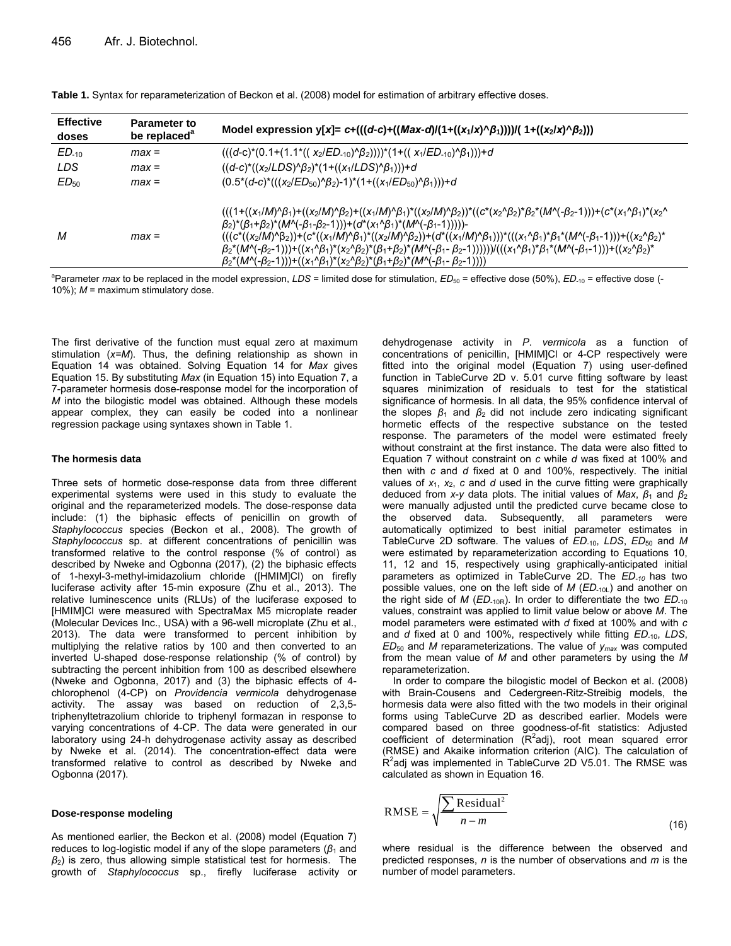| <b>Effective</b><br>doses | <b>Parameter to</b><br>be replaced <sup>a</sup> | Model expression y[x]= c+(((d-c)+((Max-d)/(1+((x <sub>1</sub> /x)^ $\beta_1$ ))))/( 1+((x <sub>2</sub> /x)^ $\beta_2$ )))                                                                                                                                                                                                                                                                                                                                                                                                                                                                                                                                                                                                                                                                                                                                                                                                                                                                                                                         |
|---------------------------|-------------------------------------------------|---------------------------------------------------------------------------------------------------------------------------------------------------------------------------------------------------------------------------------------------------------------------------------------------------------------------------------------------------------------------------------------------------------------------------------------------------------------------------------------------------------------------------------------------------------------------------------------------------------------------------------------------------------------------------------------------------------------------------------------------------------------------------------------------------------------------------------------------------------------------------------------------------------------------------------------------------------------------------------------------------------------------------------------------------|
| $ED-10$                   | $max =$                                         | $(((d-c)*(0.1+(1.1*((x_2/ED_{-10})\beta_2))))*(1+((x_1/ED_{-10})\beta_1)))+d$                                                                                                                                                                                                                                                                                                                                                                                                                                                                                                                                                                                                                                                                                                                                                                                                                                                                                                                                                                     |
| LDS                       | $max =$                                         | $((d-c)*(x_2/LDS)^{k}\beta_2)^*(1+((x_1/LDS)^{k}\beta_1))$ +d                                                                                                                                                                                                                                                                                                                                                                                                                                                                                                                                                                                                                                                                                                                                                                                                                                                                                                                                                                                     |
| $ED_{50}$                 | $max =$                                         | $(0.5*(d-c)*(((x_2/ED_{50})^6/_2)-1)*(1+((x_1/ED_{50})^6/_1)))+d$                                                                                                                                                                                                                                                                                                                                                                                                                                                                                                                                                                                                                                                                                                                                                                                                                                                                                                                                                                                 |
| М                         | $max =$                                         | $(((1+((x_1/M)^6\beta_1)+(x_2/M)^6\beta_2)+((x_1/M)^6\beta_1)^*((x_2/M)^6\beta_2))^*((c^*(x_2\wedge\beta_2)^*\beta_2^*(M^6(-\beta_2-1)))+(c^*(x_1\wedge\beta_1)^*(x_2\wedge\beta_2))^*(c^*(x_1\wedge\beta_2)^*(x_2\wedge\beta_2))^*$<br>$(\beta_2)^*(\beta_1+\beta_2)^*(M^{\wedge}(-\beta_1-\beta_2-1)))+(d^*(x_1^{\wedge}\beta_1)^*(M^{\wedge}(-\beta_1-1))))$<br>$(((c^*((x_2/M)^6\beta_2))+(c^*((x_1/M)^6\beta_1)^*((x_2/M)^6\beta_2))+(d^*((x_1/M)^6\beta_1)))^*((x_1\land\beta_1)^*\beta_1^*(M^((-\beta_1-1)))+(x_2\land\beta_2)^*(x_1\land\beta_1))$<br>$\beta_2^*(M^{\wedge}(-\beta_2-1)))$ + $((x_1^{\wedge}\beta_1)^*(x_2^{\wedge}\beta_2)^*(\beta_1+\beta_2)^*(M^{\wedge}(-\beta_1-\beta_2-1)))))/((x_1^{\wedge}\beta_1)^*\beta_1^*(M^{\wedge}(-\beta_1-1)))$ + $((x_2^{\wedge}\beta_2)^*(\beta_1)^*(\beta_1)^*(\beta_2)^*(\beta_2)^*(\beta_2))^*(M^{\wedge}(-\beta_1-\beta_2))$<br>$\beta_2^*(M \setminus (-\beta_2-1))) + ((x_1 \setminus \beta_1)^*(x_2 \setminus \beta_2)^*(\beta_1+\beta_2)^*(M \setminus (-\beta_1-\beta_2-1))))$ |

|  |  |  |  | Table 1. Syntax for reparameterization of Beckon et al. (2008) model for estimation of arbitrary effective doses. |
|--|--|--|--|-------------------------------------------------------------------------------------------------------------------|
|--|--|--|--|-------------------------------------------------------------------------------------------------------------------|

<sup>a</sup>Parameter *max* to be replaced in the model expression, *LDS* = limited dose for stimulation, *ED*<sub>50</sub> = effective dose (50%), *ED*<sub>-10</sub> = effective dose (-10%); *M* = maximum stimulatory dose.

The first derivative of the function must equal zero at maximum stimulation (*x=M*). Thus, the defining relationship as shown in Equation 14 was obtained. Solving Equation 14 for *Max* gives Equation 15. By substituting *Max* (in Equation 15) into Equation 7, a 7-parameter hormesis dose-response model for the incorporation of *M* into the bilogistic model was obtained. Although these models appear complex, they can easily be coded into a nonlinear regression package using syntaxes shown in Table 1.

#### **The hormesis data**

Three sets of hormetic dose-response data from three different experimental systems were used in this study to evaluate the original and the reparameterized models. The dose-response data include: (1) the biphasic effects of penicillin on growth of *Staphylococcus* species (Beckon et al., 2008). The growth of *Staphylococcus* sp. at different concentrations of penicillin was transformed relative to the control response (% of control) as described by Nweke and Ogbonna (2017), (2) the biphasic effects of 1-hexyl-3-methyl-imidazolium chloride ([HMIM]Cl) on firefly luciferase activity after 15-min exposure (Zhu et al., 2013). The relative luminescence units (RLUs) of the luciferase exposed to [HMIM]Cl were measured with SpectraMax M5 microplate reader (Molecular Devices Inc., USA) with a 96-well microplate (Zhu et al., 2013). The data were transformed to percent inhibition by multiplying the relative ratios by 100 and then converted to an inverted U-shaped dose-response relationship (% of control) by subtracting the percent inhibition from 100 as described elsewhere (Nweke and Ogbonna, 2017) and (3) the biphasic effects of 4 chlorophenol (4-CP) on *Providencia vermicola* dehydrogenase activity. The assay was based on reduction of 2,3,5 triphenyltetrazolium chloride to triphenyl formazan in response to varying concentrations of 4-CP. The data were generated in our laboratory using 24-h dehydrogenase activity assay as described by Nweke et al. (2014). The concentration-effect data were transformed relative to control as described by Nweke and Ogbonna (2017).

#### **Dose-response modeling**

As mentioned earlier, the Beckon et al. (2008) model (Equation 7) reduces to log-logistic model if any of the slope parameters  $(\beta_1$  and *β*2) is zero, thus allowing simple statistical test for hormesis. The growth of *Staphylococcus* sp., firefly luciferase activity or

dehydrogenase activity in *P*. *vermicola* as a function of concentrations of penicillin, [HMIM]Cl or 4-CP respectively were fitted into the original model (Equation 7) using user-defined function in TableCurve 2D v. 5.01 curve fitting software by least squares minimization of residuals to test for the statistical significance of hormesis. In all data, the 95% confidence interval of the slopes  $β_1$  and  $β_2$  did not include zero indicating significant hormetic effects of the respective substance on the tested response. The parameters of the model were estimated freely without constraint at the first instance. The data were also fitted to Equation 7 without constraint on *c* while *d* was fixed at 100% and then with *c* and *d* fixed at 0 and 100%, respectively. The initial values of  $x_1$ ,  $x_2$ ,  $c$  and  $d$  used in the curve fitting were graphically deduced from *x*-*y* data plots. The initial values of *Max*,  $\beta_1$  and  $\beta_2$ were manually adjusted until the predicted curve became close to the observed data. Subsequently, all parameters were automatically optimized to best initial parameter estimates in TableCurve 2D software. The values of *ED*-10, *LDS*, *ED*50 and *M* were estimated by reparameterization according to Equations 10, 11, 12 and 15, respectively using graphically-anticipated initial parameters as optimized in TableCurve 2D. The *ED-10* has two possible values, one on the left side of *M* (*ED*-10L) and another on the right side of *M* (*ED*-10R). In order to differentiate the two *ED*-10 values, constraint was applied to limit value below or above *M*. The model parameters were estimated with *d* fixed at 100% and with *c* and *d* fixed at 0 and 100%, respectively while fitting *ED*<sub>-10</sub>, *LDS*,  $ED_{50}$  and *M* reparameterizations. The value of  $y_{max}$  was computed from the mean value of *M* and other parameters by using the *M* reparameterization.

In order to compare the bilogistic model of Beckon et al. (2008) with Brain-Cousens and Cedergreen-Ritz-Streibig models, the hormesis data were also fitted with the two models in their original forms using TableCurve 2D as described earlier. Models were compared based on three goodness-of-fit statistics: Adjusted coefficient of determination  $(R^2$ adj), root mean squared error (RMSE) and Akaike information criterion (AIC). The calculation of  $R^2$ adj was implemented in TableCurve 2D V5.01. The RMSE was calculated as shown in Equation 16.

$$
RMSE = \sqrt{\frac{\sum Residual^2}{n-m}}
$$
 (16)

where residual is the difference between the observed and predicted responses, *n* is the number of observations and *m* is the number of model parameters.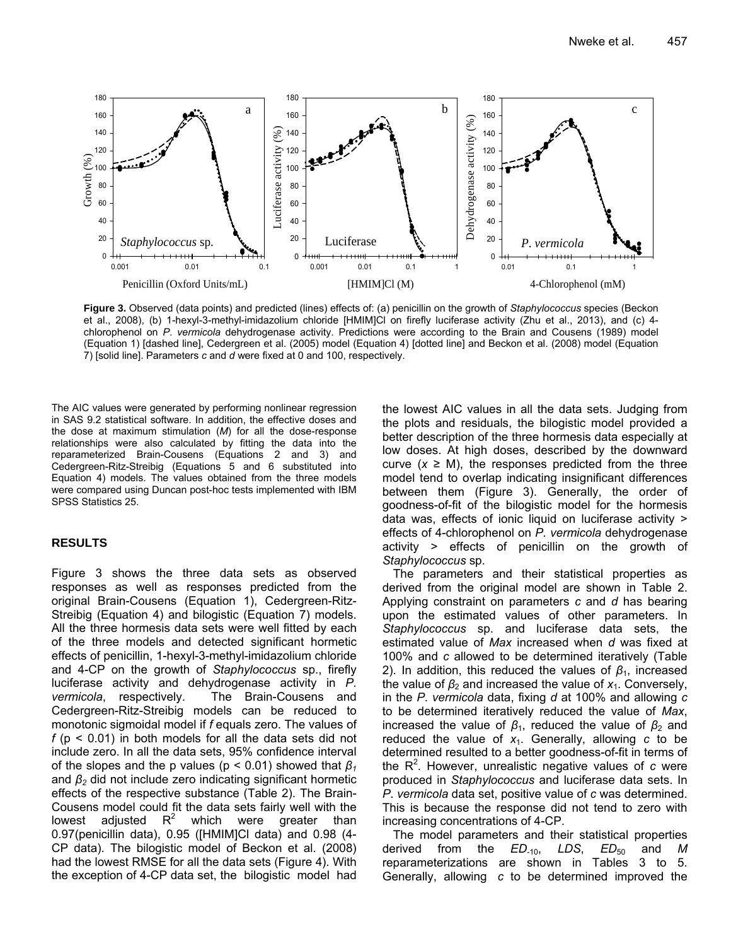

**Figure 3.** Observed (data points) and predicted (lines) effects of: (a) penicillin on the growth of *Staphylococcus* species (Beckon et al., 2008), (b) 1-hexyl-3-methyl-imidazolium chloride [HMIM]Cl on firefly luciferase activity (Zhu et al., 2013), and (c) 4 chlorophenol on *P*. *vermicola* dehydrogenase activity. Predictions were according to the Brain and Cousens (1989) model (Equation 1) [dashed line], Cedergreen et al. (2005) model (Equation 4) [dotted line] and Beckon et al. (2008) model (Equation 7) [solid line]. Parameters *c* and *d* were fixed at 0 and 100, respectively.

The AIC values were generated by performing nonlinear regression in SAS 9.2 statistical software. In addition, the effective doses and the dose at maximum stimulation (*M*) for all the dose-response relationships were also calculated by fitting the data into the reparameterized Brain-Cousens (Equations 2 and 3) and Cedergreen-Ritz-Streibig (Equations 5 and 6 substituted into Equation 4) models. The values obtained from the three models were compared using Duncan post-hoc tests implemented with IBM SPSS Statistics 25.

# **RESULTS**

Figure 3 shows the three data sets as observed responses as well as responses predicted from the original Brain-Cousens (Equation 1), Cedergreen-Ritz-Streibig (Equation 4) and bilogistic (Equation 7) models. All the three hormesis data sets were well fitted by each of the three models and detected significant hormetic effects of penicillin, 1-hexyl-3-methyl-imidazolium chloride and 4-CP on the growth of *Staphylococcus* sp., firefly luciferase activity and dehydrogenase activity in *P. vermicola*, respectively. The Brain-Cousens and Cedergreen-Ritz-Streibig models can be reduced to monotonic sigmoidal model if *f* equals zero. The values of *f* (p < 0.01) in both models for all the data sets did not include zero. In all the data sets, 95% confidence interval of the slopes and the p values (p < 0.01) showed that *β<sup>1</sup>* and *β2* did not include zero indicating significant hormetic effects of the respective substance (Table 2). The Brain-Cousens model could fit the data sets fairly well with the lowest adjusted  $R^2$  which were greater than 0.97(penicillin data), 0.95 ([HMIM]Cl data) and 0.98 (4- CP data). The bilogistic model of Beckon et al. (2008) had the lowest RMSE for all the data sets (Figure 4). With the exception of 4-CP data set, the bilogistic model had

the lowest AIC values in all the data sets. Judging from the plots and residuals, the bilogistic model provided a better description of the three hormesis data especially at low doses. At high doses, described by the downward curve  $(x \ge M)$ , the responses predicted from the three model tend to overlap indicating insignificant differences between them (Figure 3). Generally, the order of goodness-of-fit of the bilogistic model for the hormesis data was, effects of ionic liquid on luciferase activity > effects of 4-chlorophenol on *P. vermicola* dehydrogenase activity > effects of penicillin on the growth of *Staphylococcus* sp.

The parameters and their statistical properties as derived from the original model are shown in Table 2. Applying constraint on parameters *c* and *d* has bearing upon the estimated values of other parameters. In *Staphylococcus* sp. and luciferase data sets, the estimated value of *Max* increased when *d* was fixed at 100% and *c* allowed to be determined iteratively (Table 2). In addition, this reduced the values of  $β_1$ , increased the value of  $\beta_2$  and increased the value of  $x_1$ . Conversely, in the *P*. *vermicola* data, fixing *d* at 100% and allowing *c* to be determined iteratively reduced the value of *Max*, increased the value of  $\beta_1$ , reduced the value of  $\beta_2$  and reduced the value of  $x_1$ . Generally, allowing  $c$  to be determined resulted to a better goodness-of-fit in terms of the R<sup>2</sup> . However, unrealistic negative values of *c* were produced in *Staphylococcus* and luciferase data sets. In *P*. *vermicola* data set, positive value of *c* was determined. This is because the response did not tend to zero with increasing concentrations of 4-CP.

The model parameters and their statistical properties derived from the *ED*-10, *LDS*, *ED*50 and *M* reparameterizations are shown in Tables 3 to 5. Generally, allowing *c* to be determined improved the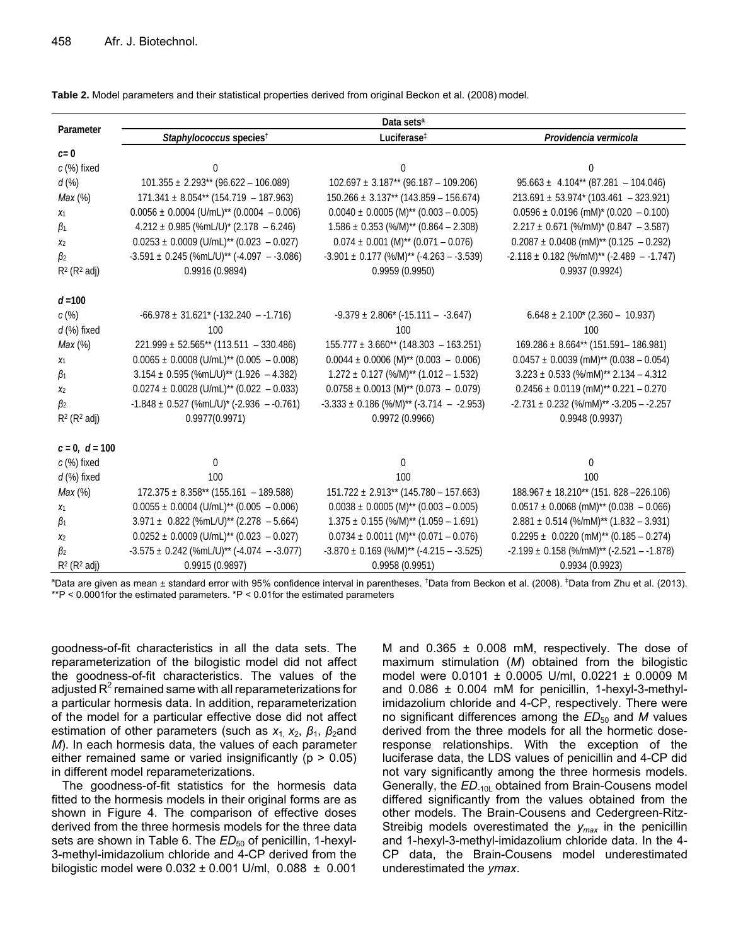| Parameter          | Data sets <sup>a</sup>                                    |                                                          |                                                        |  |  |
|--------------------|-----------------------------------------------------------|----------------------------------------------------------|--------------------------------------------------------|--|--|
|                    | Staphylococcus species <sup>†</sup>                       | Luciferase <sup>‡</sup>                                  | Providencia vermicola                                  |  |  |
| $c=0$              |                                                           |                                                          |                                                        |  |  |
| c (%) fixed        | 0                                                         | $\Omega$                                                 | 0                                                      |  |  |
| d(%)               | $101.355 \pm 2.293**$ (96.622 - 106.089)                  | $102.697 \pm 3.187**$ (96.187 - 109.206)                 | $95.663 \pm 4.104^{**}$ (87.281 - 104.046)             |  |  |
| Max(%)             | $171.341 \pm 8.054**$ (154.719 - 187.963)                 | $150.266 \pm 3.137**$ (143.859 - 156.674)                | $213.691 \pm 53.974$ (103.461 - 323.921)               |  |  |
| $x_1$              | $0.0056 \pm 0.0004$ (U/mL) <sup>**</sup> (0.0004 - 0.006) | $0.0040 \pm 0.0005$ (M) <sup>**</sup> (0.003 - 0.005)    | $0.0596 \pm 0.0196$ (mM) <sup>*</sup> (0.020 - 0.100)  |  |  |
| $\beta_1$          | $4.212 \pm 0.985$ (%mL/U)* (2.178 - 6.246)                | $1.586 \pm 0.353$ (%/M) <sup>**</sup> (0.864 - 2.308)    | $2.217 \pm 0.671$ (%/mM)* (0.847 - 3.587)              |  |  |
| $x_2$              | $0.0253 \pm 0.0009$ (U/mL) <sup>**</sup> (0.023 - 0.027)  | $0.074 \pm 0.001$ (M) <sup>**</sup> (0.071 - 0.076)      | $0.2087 \pm 0.0408$ (mM) <sup>**</sup> (0.125 - 0.292) |  |  |
| $\beta_2$          | $-3.591 \pm 0.245$ (%mL/U)** (-4.097 - -3.086)            | $-3.901 \pm 0.177$ (%/M) <sup>**</sup> (-4.263 - -3.539) | $-2.118 \pm 0.182$ (%/mM)** (-2.489 - -1.747)          |  |  |
| $R^2$ ( $R^2$ adj) | 0.9916 (0.9894)                                           | 0.9959(0.9950)                                           | 0.9937(0.9924)                                         |  |  |
| $d = 100$          |                                                           |                                                          |                                                        |  |  |
| c(%)               | $-66.978 \pm 31.621$ ( $-132.240 -1.716$ )                | $-9.379 \pm 2.806$ * ( $-15.111 - -3.647$ )              | $6.648 \pm 2.100^{*}$ (2.360 - 10.937)                 |  |  |
| $d$ (%) fixed      | 100                                                       | 100                                                      | 100                                                    |  |  |
| Max(%)             | $221.999 \pm 52.565**$ (113.511 - 330.486)                | $155.777 \pm 3.660^{**}$ (148.303 - 163.251)             | $169.286 \pm 8.664^{**}$ (151.591 - 186.981)           |  |  |
| X <sub>1</sub>     | $0.0065 \pm 0.0008$ (U/mL) <sup>**</sup> (0.005 - 0.008)  | $0.0044 \pm 0.0006$ (M) <sup>**</sup> (0.003 - 0.006)    | $0.0457 \pm 0.0039$ (mM) <sup>**</sup> (0.038 - 0.054) |  |  |
| $\beta_1$          | $3.154 \pm 0.595$ (%mL/U)** (1.926 - 4.382)               | $1.272 \pm 0.127$ (%/M) <sup>**</sup> (1.012 - 1.532)    | $3.223 \pm 0.533$ (%/mM)** 2.134 - 4.312               |  |  |
| $x_2$              | $0.0274 \pm 0.0028$ (U/mL) <sup>**</sup> (0.022 - 0.033)  | $0.0758 \pm 0.0013$ (M) <sup>**</sup> (0.073 - 0.079)    | $0.2456 \pm 0.0119$ (mM) <sup>**</sup> 0.221 - 0.270   |  |  |
| $\beta_2$          | $-1.848 \pm 0.527$ (%mL/U)* (-2.936 - -0.761)             | $-3.333 \pm 0.186$ (%/M) <sup>**</sup> (-3.714 - -2.953) | $-2.731 \pm 0.232$ (%/mM)** $-3.205 - 2.257$           |  |  |
| $R^2$ ( $R^2$ adj) | 0.9977(0.9971)                                            | 0.9972(0.9966)                                           | 0.9948(0.9937)                                         |  |  |
| $c = 0, d = 100$   |                                                           |                                                          |                                                        |  |  |
| c (%) fixed        | 0                                                         | $\Omega$                                                 | $\mathbf 0$                                            |  |  |
| $d$ (%) fixed      | 100                                                       | 100                                                      | 100                                                    |  |  |
| Max(%)             | $172.375 \pm 8.358**$ (155.161 - 189.588)                 | $151.722 \pm 2.913**$ (145.780 - 157.663)                | $188.967 \pm 18.210^{**}$ (151. 828 -226.106)          |  |  |
| X <sub>1</sub>     | $0.0055 \pm 0.0004$ (U/mL) <sup>**</sup> (0.005 - 0.006)  | $0.0038 \pm 0.0005$ (M) <sup>**</sup> (0.003 - 0.005)    | $0.0517 \pm 0.0068$ (mM) <sup>**</sup> (0.038 - 0.066) |  |  |
| $\beta_1$          | $3.971 \pm 0.822$ (%mL/U)** (2.278 - 5.664)               | $1.375 \pm 0.155$ (%/M) <sup>**</sup> (1.059 - 1.691)    | $2.881 \pm 0.514$ (%/mM) <sup>**</sup> (1.832 - 3.931) |  |  |
| $x_2$              | $0.0252 \pm 0.0009$ (U/mL) <sup>**</sup> (0.023 - 0.027)  | $0.0734 \pm 0.0011$ (M) <sup>**</sup> (0.071 - 0.076)    | $0.2295 \pm 0.0220$ (mM) <sup>**</sup> (0.185 - 0.274) |  |  |
| $\beta_2$          | $-3.575 \pm 0.242$ (%mL/U)** (-4.074 - -3.077)            | $-3.870 \pm 0.169$ (%/M) <sup>**</sup> (-4.215 - -3.525) | $-2.199 \pm 0.158$ (%/mM)** (-2.521 - -1.878)          |  |  |
| $R^2$ ( $R^2$ adj) | 0.9915 (0.9897)                                           | 0.9958 (0.9951)                                          | 0.9934 (0.9923)                                        |  |  |

**Table 2.** Model parameters and their statistical properties derived from original Beckon et al. (2008) model.

<sup>a</sup>Data are given as mean ± standard error with 95% confidence interval in parentheses. <sup>†</sup>Data from Beckon et al. (2008). <sup>‡</sup>Data from Zhu et al. (2013). \*\*P < 0.0001for the estimated parameters. \*P < 0.01for the estimated parameters

goodness-of-fit characteristics in all the data sets. The reparameterization of the bilogistic model did not affect the goodness-of-fit characteristics. The values of the adjusted  $R^2$  remained same with all reparameterizations for a particular hormesis data. In addition, reparameterization of the model for a particular effective dose did not affect estimation of other parameters (such as *x*<sub>1</sub> *x*<sub>2</sub>, *β*<sub>1</sub>, *β*<sub>2</sub>and *M*). In each hormesis data, the values of each parameter either remained same or varied insignificantly ( $p > 0.05$ ) in different model reparameterizations.

The goodness-of-fit statistics for the hormesis data fitted to the hormesis models in their original forms are as shown in Figure 4. The comparison of effective doses derived from the three hormesis models for the three data sets are shown in Table 6. The *ED*<sub>50</sub> of penicillin, 1-hexyl-3-methyl-imidazolium chloride and 4-CP derived from the bilogistic model were 0.032 ± 0.001 U/ml, 0.088 ± 0.001

M and  $0.365 \pm 0.008$  mM, respectively. The dose of maximum stimulation (*M*) obtained from the bilogistic model were 0.0101 ± 0.0005 U/ml, 0.0221 ± 0.0009 M and  $0.086 \pm 0.004$  mM for penicillin, 1-hexyl-3-methylimidazolium chloride and 4-CP, respectively. There were no significant differences among the  $ED_{50}$  and *M* values derived from the three models for all the hormetic doseresponse relationships. With the exception of the luciferase data, the LDS values of penicillin and 4-CP did not vary significantly among the three hormesis models. Generally, the *ED*-10L obtained from Brain-Cousens model differed significantly from the values obtained from the other models. The Brain-Cousens and Cedergreen-Ritz-Streibig models overestimated the *ymax* in the penicillin and 1-hexyl-3-methyl-imidazolium chloride data. In the 4- CP data, the Brain-Cousens model underestimated underestimated the *ymax*.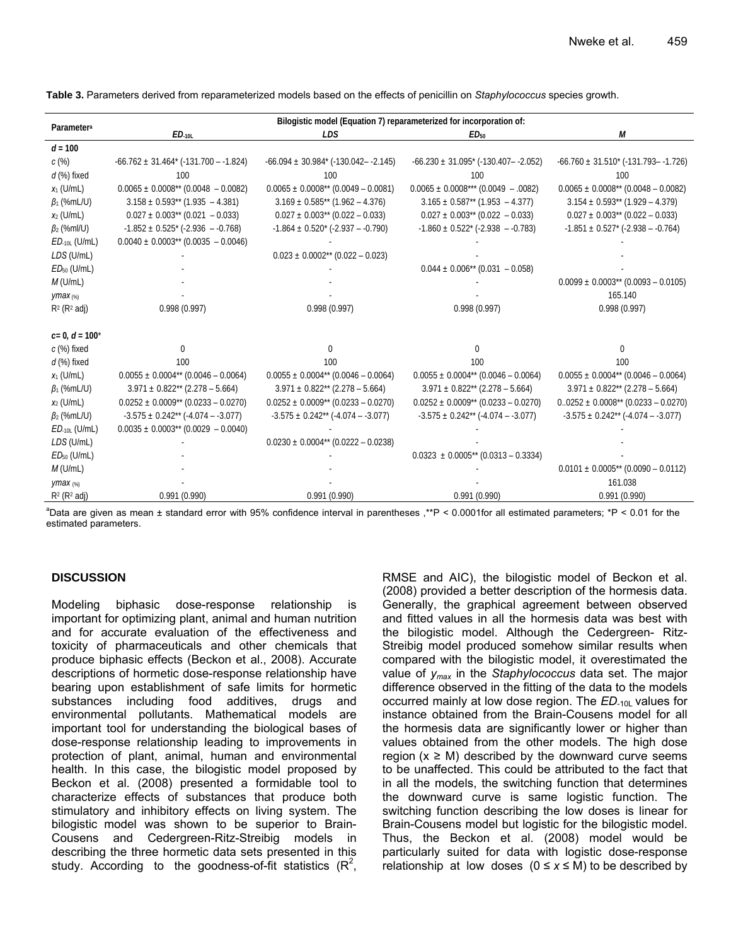| Parameter <sup>a</sup>          | Bilogistic model (Equation 7) reparameterized for incorporation of: |                                                       |                                                      |                                                     |
|---------------------------------|---------------------------------------------------------------------|-------------------------------------------------------|------------------------------------------------------|-----------------------------------------------------|
|                                 | ED <sub>10L</sub>                                                   | LDS                                                   | ED <sub>50</sub>                                     | М                                                   |
| $d = 100$                       |                                                                     |                                                       |                                                      |                                                     |
| c(%)                            | $-66.762 \pm 31.464^{\ast}$ (-131.700 – -1.824)                     | $-66.094 \pm 30.984$ <sup>*</sup> (-130.042--2.145)   | $-66.230 \pm 31.095$ * (-130.407– -2.052)            | $-66.760 \pm 31.510^*$ (-131.793 - -1.726)          |
| $d$ (%) fixed                   | 100                                                                 | 100                                                   | 100                                                  | 100                                                 |
| $x_1$ (U/mL)                    | $0.0065 \pm 0.0008$ <sup>**</sup> (0.0048 - 0.0082)                 | $0.0065 \pm 0.0008**$ (0.0049 - 0.0081)               | $0.0065 \pm 0.0008***$ (0.0049 - .0082)              | $0.0065 \pm 0.0008**$ (0.0048 - 0.0082)             |
| $\beta_1$ (%mL/U)               | $3.158 \pm 0.593**$ (1.935 - 4.381)                                 | $3.169 \pm 0.585** (1.962 - 4.376)$                   | $3.165 \pm 0.587^{**}$ (1.953 - 4.377)               | $3.154 \pm 0.593**$ (1.929 – 4.379)                 |
| $x_2$ (U/mL)                    | $0.027 \pm 0.003^{**}$ (0.021 - 0.033)                              | $0.027 \pm 0.003$ <sup>**</sup> (0.022 - 0.033)       | $0.027 \pm 0.003$ <sup>**</sup> (0.022 - 0.033)      | $0.027 \pm 0.003$ <sup>**</sup> (0.022 - 0.033)     |
| $\beta_2$ (%ml/U)               | $-1.852 \pm 0.525$ * ( $-2.936 - 0.768$ )                           | $-1.864 \pm 0.520$ <sup>*</sup> ( $-2.937 - -0.790$ ) | $-1.860 \pm 0.522$ <sup>*</sup> ( $-2.938 - 0.783$ ) | $-1.851 \pm 0.527$ * (-2.938 – -0.764)              |
| $ED_{-10L}$ (U/mL)              | $0.0040 \pm 0.0003$ <sup>**</sup> (0.0035 - 0.0046)                 |                                                       |                                                      |                                                     |
| LDS (U/mL)                      |                                                                     | $0.023 \pm 0.0002**$ (0.022 - 0.023)                  |                                                      |                                                     |
| $ED50$ (U/mL)                   |                                                                     |                                                       | $0.044 \pm 0.006^{**}$ (0.031 - 0.058)               |                                                     |
| $M$ (U/mL)                      |                                                                     |                                                       |                                                      | $0.0099 \pm 0.0003$ <sup>**</sup> (0.0093 - 0.0105) |
| $\gamma$ max $\left(\% \right)$ |                                                                     |                                                       |                                                      | 165.140                                             |
| $R^2$ ( $R^2$ adj)              | 0.998(0.997)                                                        | 0.998(0.997)                                          | 0.998(0.997)                                         | 0.998(0.997)                                        |
|                                 |                                                                     |                                                       |                                                      |                                                     |
| $c=0, d=100^*$                  |                                                                     |                                                       |                                                      |                                                     |
| $c$ (%) fixed                   | $\Omega$                                                            | $\Omega$                                              | $\Omega$                                             | $\Omega$                                            |
| $d$ (%) fixed                   | 100                                                                 | 100                                                   | 100                                                  | 100                                                 |
| $x_1$ (U/mL)                    | $0.0055 \pm 0.0004**$ (0.0046 - 0.0064)                             | $0.0055 \pm 0.0004^{**}$ (0.0046 - 0.0064)            | $0.0055 \pm 0.0004**$ (0.0046 - 0.0064)              | $0.0055 \pm 0.0004**$ (0.0046 - 0.0064)             |
| $\beta_1$ (%mL/U)               | $3.971 \pm 0.822** (2.278 - 5.664)$                                 | $3.971 \pm 0.822** (2.278 - 5.664)$                   | $3.971 \pm 0.822** (2.278 - 5.664)$                  | $3.971 \pm 0.822^{**}$ (2.278 – 5.664)              |
| $x_2$ (U/mL)                    | $0.0252 \pm 0.0009**$ (0.0233 – 0.0270)                             | $0.0252 \pm 0.0009**$ (0.0233 – 0.0270)               | $0.0252 \pm 0.0009**$ (0.0233 - 0.0270)              | $0.0252 \pm 0.0008**$ (0.0233 - 0.0270)             |
| $\beta_2$ (%mL/U)               | $-3.575 \pm 0.242$ <sup>**</sup> (-4.074 - -3.077)                  | $-3.575 \pm 0.242$ <sup>**</sup> (-4.074 - -3.077)    | $-3.575 \pm 0.242$ <sup>**</sup> (-4.074 - -3.077)   | $-3.575 \pm 0.242**$ ( $-4.074 - -3.077$ )          |
| $ED_{-10L}$ (U/mL)              | $0.0035 \pm 0.0003$ <sup>**</sup> (0.0029 - 0.0040)                 |                                                       |                                                      |                                                     |
| LDS (U/mL)                      |                                                                     | $0.0230 \pm 0.0004**$ (0.0222 - 0.0238)               |                                                      |                                                     |
| $ED50$ (U/mL)                   |                                                                     |                                                       | $0.0323 \pm 0.0005**$ (0.0313 - 0.3334)              |                                                     |
| $M$ (U/mL)                      |                                                                     |                                                       |                                                      | $0.0101 \pm 0.0005**$ (0.0090 - 0.0112)             |
| ymax $(x_0)$                    |                                                                     |                                                       |                                                      | 161.038                                             |
| $R^2$ ( $R^2$ adj)              | 0.991(0.990)                                                        | 0.991(0.990)                                          | 0.991(0.990)                                         | 0.991(0.990)                                        |

**Table 3.** Parameters derived from reparameterized models based on the effects of penicillin on *Staphylococcus* species growth.

<sup>a</sup>Data are given as mean ± standard error with 95% confidence interval in parentheses,\*\*P < 0.0001for all estimated parameters; \*P < 0.01 for the estimated parameters.

## **DISCUSSION**

Modeling biphasic dose-response relationship is important for optimizing plant, animal and human nutrition and for accurate evaluation of the effectiveness and toxicity of pharmaceuticals and other chemicals that produce biphasic effects (Beckon et al., 2008). Accurate descriptions of hormetic dose-response relationship have bearing upon establishment of safe limits for hormetic substances including food additives, drugs and environmental pollutants. Mathematical models are important tool for understanding the biological bases of dose-response relationship leading to improvements in protection of plant, animal, human and environmental health. In this case, the bilogistic model proposed by Beckon et al. (2008) presented a formidable tool to characterize effects of substances that produce both stimulatory and inhibitory effects on living system. The bilogistic model was shown to be superior to Brain-Cousens and Cedergreen-Ritz-Streibig models in describing the three hormetic data sets presented in this study. According to the goodness-of-fit statistics  $(R^2,$  RMSE and AIC), the bilogistic model of Beckon et al. (2008) provided a better description of the hormesis data. Generally, the graphical agreement between observed and fitted values in all the hormesis data was best with the bilogistic model. Although the Cedergreen- Ritz-Streibig model produced somehow similar results when compared with the bilogistic model, it overestimated the value of *ymax* in the *Staphylococcus* data set. The major difference observed in the fitting of the data to the models occurred mainly at low dose region. The *ED*-10L values for instance obtained from the Brain-Cousens model for all the hormesis data are significantly lower or higher than values obtained from the other models. The high dose region ( $x \geq M$ ) described by the downward curve seems to be unaffected. This could be attributed to the fact that in all the models, the switching function that determines the downward curve is same logistic function. The switching function describing the low doses is linear for Brain-Cousens model but logistic for the bilogistic model. Thus, the Beckon et al. (2008) model would be particularly suited for data with logistic dose-response relationship at low doses  $(0 \le x \le M)$  to be described by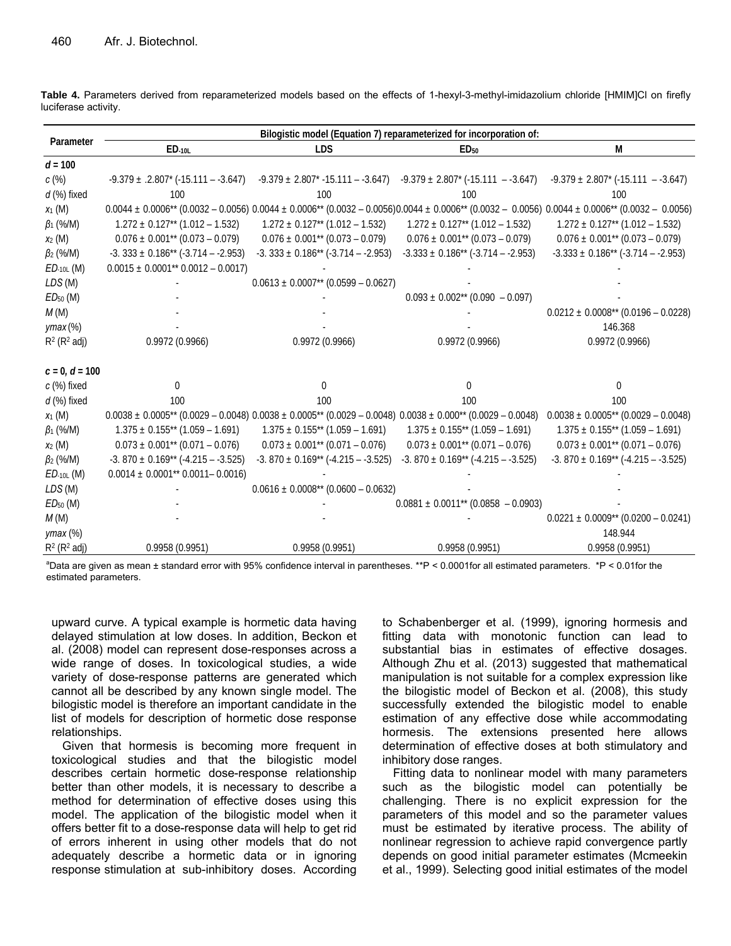| Parameter          | Bilogistic model (Equation 7) reparameterized for incorporation of:                                                         |                                                     |                                                                                       |                                                                                                                                                                                                                |
|--------------------|-----------------------------------------------------------------------------------------------------------------------------|-----------------------------------------------------|---------------------------------------------------------------------------------------|----------------------------------------------------------------------------------------------------------------------------------------------------------------------------------------------------------------|
|                    | ED.10L                                                                                                                      | <b>LDS</b>                                          | ED <sub>50</sub>                                                                      | M                                                                                                                                                                                                              |
| $d = 100$          |                                                                                                                             |                                                     |                                                                                       |                                                                                                                                                                                                                |
| c(%)               | $-9.379 \pm .2.807$ $(-15.111 - .3.647)$                                                                                    |                                                     | $-9.379 \pm 2.807$ * $-15.111 - -3.647$ ) $-9.379 \pm 2.807$ * ( $-15.111 - -3.647$ ) | $-9.379 \pm 2.807$ * (-15.111 – -3.647)                                                                                                                                                                        |
| $d$ (%) fixed      | 100                                                                                                                         | 100                                                 | 100                                                                                   | 100                                                                                                                                                                                                            |
| $x_1$ (M)          |                                                                                                                             |                                                     |                                                                                       | $0.0044 \pm 0.0006$ <sup>**</sup> (0.0032 - 0.0056) $0.0044 \pm 0.0006$ <sup>**</sup> (0.0032 - 0.0056)0.0044 $\pm$ 0.0006 <sup>**</sup> (0.0032 - 0.0056) 0.0044 $\pm$ 0.0006 <sup>**</sup> (0.0032 - 0.0056) |
| $\beta_1$ (%/M)    | $1.272 \pm 0.127**$ (1.012 – 1.532)                                                                                         | $1.272 \pm 0.127**$ (1.012 – 1.532)                 | $1.272 \pm 0.127**$ (1.012 – 1.532)                                                   | $1.272 \pm 0.127**$ (1.012 - 1.532)                                                                                                                                                                            |
| $x_2$ (M)          | $0.076 \pm 0.001^{**}$ (0.073 – 0.079)                                                                                      | $0.076 \pm 0.001^{**}$ (0.073 – 0.079)              | $0.076 \pm 0.001^{**}$ (0.073 – 0.079)                                                | $0.076 \pm 0.001^{**}$ (0.073 – 0.079)                                                                                                                                                                         |
| $\beta_2$ (%/M)    | $-3.333 \pm 0.186$ ** $(-3.714 - -2.953)$                                                                                   | $-3.333 \pm 0.186** (-3.714 - -2.953)$              | $-3.333 \pm 0.186** (-3.714 - -2.953)$                                                | $-3.333 \pm 0.186** (-3.714 - -2.953)$                                                                                                                                                                         |
| $ED$ -10L $(M)$    | $0.0015 \pm 0.0001^{**}$ 0.0012 - 0.0017)                                                                                   |                                                     |                                                                                       |                                                                                                                                                                                                                |
| LDS (M)            |                                                                                                                             | $0.0613 \pm 0.0007$ <sup>**</sup> (0.0599 – 0.0627) |                                                                                       |                                                                                                                                                                                                                |
| $ED50$ (M)         |                                                                                                                             |                                                     | $0.093 \pm 0.002^{**}$ (0.090 - 0.097)                                                |                                                                                                                                                                                                                |
| M(M)               |                                                                                                                             |                                                     |                                                                                       | $0.0212 \pm 0.0008**$ (0.0196 - 0.0228)                                                                                                                                                                        |
| $ymax$ $%$         |                                                                                                                             |                                                     |                                                                                       | 146.368                                                                                                                                                                                                        |
| $R^2$ ( $R^2$ adj) | 0.9972 (0.9966)                                                                                                             | 0.9972 (0.9966)                                     | 0.9972 (0.9966)                                                                       | 0.9972(0.9966)                                                                                                                                                                                                 |
|                    |                                                                                                                             |                                                     |                                                                                       |                                                                                                                                                                                                                |
| $c = 0, d = 100$   |                                                                                                                             |                                                     |                                                                                       |                                                                                                                                                                                                                |
| c (%) fixed        | $\Omega$                                                                                                                    | $\Omega$                                            | $\Omega$                                                                              | $\Omega$                                                                                                                                                                                                       |
| $d$ (%) fixed      | 100                                                                                                                         | 100                                                 | 100                                                                                   | 100                                                                                                                                                                                                            |
| $x_1$ (M)          | $0.0038 \pm 0.0005$ ** $(0.0029 - 0.0048) 0.0038 \pm 0.0005$ ** $(0.0029 - 0.0048) 0.0038 \pm 0.000$ ** $(0.0029 - 0.0048)$ |                                                     |                                                                                       | $0.0038 \pm 0.0005$ ** (0.0029 – 0.0048)                                                                                                                                                                       |
| $\beta_1$ (%/M)    | $1.375 \pm 0.155**$ (1.059 – 1.691)                                                                                         | $1.375 \pm 0.155$ ** (1.059 – 1.691)                | $1.375 \pm 0.155**$ (1.059 – 1.691)                                                   | $1.375 \pm 0.155**$ (1.059 – 1.691)                                                                                                                                                                            |
| $x_2$ (M)          | $0.073 \pm 0.001^{**}$ (0.071 – 0.076)                                                                                      | $0.073 \pm 0.001^{**}$ (0.071 – 0.076)              | $0.073 \pm 0.001^{**}$ (0.071 – 0.076)                                                | $0.073 \pm 0.001^{**}$ (0.071 – 0.076)                                                                                                                                                                         |
| $\beta_2$ (%/M)    | $-3.870 \pm 0.169** (-4.215 - -3.525)$                                                                                      | $-3.870 \pm 0.169** (-4.215 - -3.525)$              | $-3.870 \pm 0.169** (-4.215 - -3.525)$                                                | $-3.870 \pm 0.169** (-4.215 - -3.525)$                                                                                                                                                                         |
| $ED$ -10L $(M)$    | $0.0014 \pm 0.0001^{**}$ 0.0011 - 0.0016)                                                                                   |                                                     |                                                                                       |                                                                                                                                                                                                                |
| LDS (M)            |                                                                                                                             | $0.0616 \pm 0.0008**$ (0.0600 - 0.0632)             |                                                                                       |                                                                                                                                                                                                                |
| $ED50$ (M)         |                                                                                                                             |                                                     | $0.0881 \pm 0.0011^{**}$ (0.0858 - 0.0903)                                            |                                                                                                                                                                                                                |
| M(M)               |                                                                                                                             |                                                     |                                                                                       | $0.0221 \pm 0.0009**$ (0.0200 - 0.0241)                                                                                                                                                                        |
| $ymax$ $(\%)$      |                                                                                                                             |                                                     |                                                                                       | 148.944                                                                                                                                                                                                        |
| $R^2$ ( $R^2$ adj) | 0.9958 (0.9951)                                                                                                             | 0.9958(0.9951)                                      | 0.9958(0.9951)                                                                        | 0.9958(0.9951)                                                                                                                                                                                                 |

**Table 4.** Parameters derived from reparameterized models based on the effects of 1-hexyl-3-methyl-imidazolium chloride [HMIM]Cl on firefly luciferase activity.

a Data are given as mean ± standard error with 95% confidence interval in parentheses. \*\*P < 0.0001for all estimated parameters. \*P < 0.01for the estimated parameters.

upward curve. A typical example is hormetic data having delayed stimulation at low doses. In addition, Beckon et al. (2008) model can represent dose-responses across a wide range of doses. In toxicological studies, a wide variety of dose-response patterns are generated which cannot all be described by any known single model. The bilogistic model is therefore an important candidate in the list of models for description of hormetic dose response relationships.

Given that hormesis is becoming more frequent in toxicological studies and that the bilogistic model describes certain hormetic dose-response relationship better than other models, it is necessary to describe a method for determination of effective doses using this model. The application of the bilogistic model when it offers better fit to a dose-response data will help to get rid of errors inherent in using other models that do not adequately describe a hormetic data or in ignoring response stimulation at sub-inhibitory doses. According

to Schabenberger et al. (1999), ignoring hormesis and fitting data with monotonic function can lead to substantial bias in estimates of effective dosages. Although Zhu et al. (2013) suggested that mathematical manipulation is not suitable for a complex expression like the bilogistic model of Beckon et al. (2008), this study successfully extended the bilogistic model to enable estimation of any effective dose while accommodating hormesis. The extensions presented here allows determination of effective doses at both stimulatory and inhibitory dose ranges.

Fitting data to nonlinear model with many parameters such as the bilogistic model can potentially be challenging. There is no explicit expression for the parameters of this model and so the parameter values must be estimated by iterative process. The ability of nonlinear regression to achieve rapid convergence partly depends on good initial parameter estimates (Mcmeekin et al., 1999). Selecting good initial estimates of the model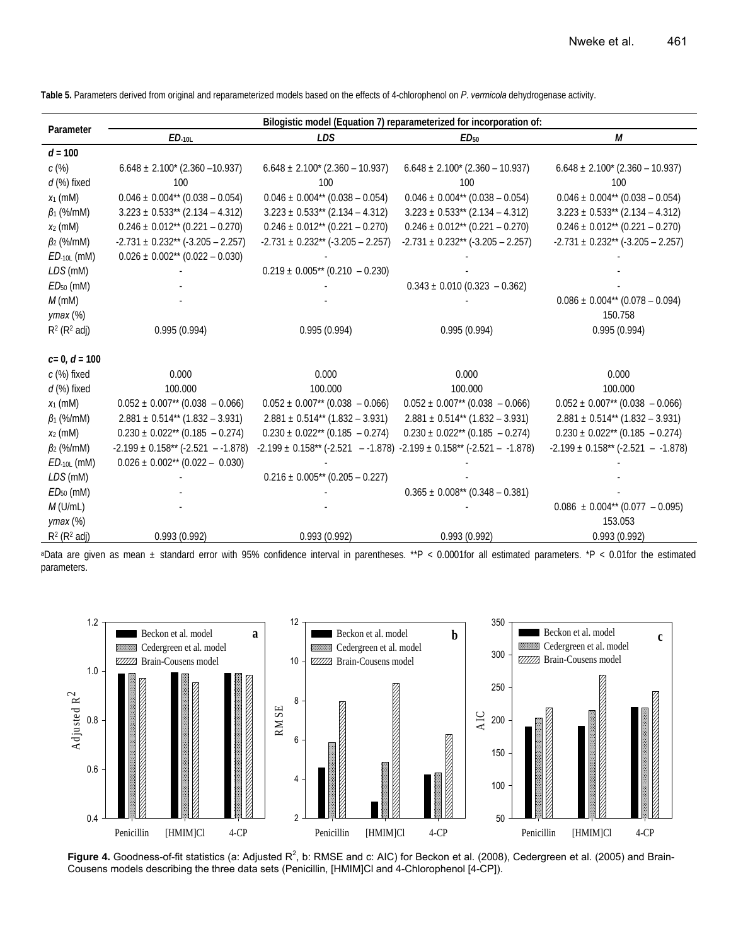**Table 5.** Parameters derived from original and reparameterized models based on the effects of 4-chlorophenol on *P*. *vermicola* dehydrogenase activity.

|                    | Bilogistic model (Equation 7) reparameterized for incorporation of: |                                                                                             |                                                 |                                                 |
|--------------------|---------------------------------------------------------------------|---------------------------------------------------------------------------------------------|-------------------------------------------------|-------------------------------------------------|
| Parameter          | $ED$ -10L                                                           | <b>LDS</b>                                                                                  | ED <sub>50</sub>                                | М                                               |
| $d = 100$          |                                                                     |                                                                                             |                                                 |                                                 |
| c(%)               | $6.648 \pm 2.100^{*}$ (2.360 -10.937)                               | $6.648 \pm 2.100^* (2.360 - 10.937)$                                                        | $6.648 \pm 2.100^* (2.360 - 10.937)$            | $6.648 \pm 2.100^{*}$ (2.360 – 10.937)          |
| $d$ (%) fixed      | 100                                                                 | 100                                                                                         | 100                                             | 100                                             |
| $x_1$ (mM)         | $0.046 \pm 0.004^{**}$ (0.038 - 0.054)                              | $0.046 \pm 0.004^{**}$ (0.038 - 0.054)                                                      | $0.046 \pm 0.004^{**}$ (0.038 - 0.054)          | $0.046 \pm 0.004^{**}$ (0.038 - 0.054)          |
| $\beta_1$ (%/mM)   | $3.223 \pm 0.533** (2.134 - 4.312)$                                 | $3.223 \pm 0.533^{**}$ (2.134 - 4.312)                                                      | $3.223 \pm 0.533** (2.134 - 4.312)$             | $3.223 \pm 0.533** (2.134 - 4.312)$             |
| $x_2$ (mM)         | $0.246 \pm 0.012**$ (0.221 - 0.270)                                 | $0.246 \pm 0.012**$ (0.221 - 0.270)                                                         | $0.246 \pm 0.012**$ (0.221 - 0.270)             | $0.246 \pm 0.012**$ (0.221 - 0.270)             |
| $\beta_2$ (%/mM)   | $-2.731 \pm 0.232** (-3.205 - 2.257)$                               | $-2.731 \pm 0.232** (-3.205 - 2.257)$                                                       | $-2.731 \pm 0.232** (-3.205 - 2.257)$           | $-2.731 \pm 0.232** (-3.205 - 2.257)$           |
| $ED$ -10L (MM)     | $0.026 \pm 0.002$ <sup>**</sup> (0.022 - 0.030)                     |                                                                                             |                                                 |                                                 |
| LDS (mM)           |                                                                     | $0.219 \pm 0.005^{**}$ (0.210 - 0.230)                                                      |                                                 |                                                 |
| $ED50$ (mM)        |                                                                     |                                                                                             | $0.343 \pm 0.010$ (0.323 - 0.362)               |                                                 |
| $M$ (mM)           |                                                                     |                                                                                             |                                                 | $0.086 \pm 0.004^{**}$ (0.078 – 0.094)          |
| $ymax$ $(\%)$      |                                                                     |                                                                                             |                                                 | 150.758                                         |
| $R^2$ ( $R^2$ adj) | 0.995(0.994)                                                        | 0.995(0.994)                                                                                | 0.995(0.994)                                    | 0.995(0.994)                                    |
|                    |                                                                     |                                                                                             |                                                 |                                                 |
| $c=0, d=100$       |                                                                     |                                                                                             |                                                 |                                                 |
| c (%) fixed        | 0.000                                                               | 0.000                                                                                       | 0.000                                           | 0.000                                           |
| $d$ (%) fixed      | 100.000                                                             | 100.000                                                                                     | 100.000                                         | 100.000                                         |
| $x_1$ (mM)         | $0.052 \pm 0.007$ <sup>**</sup> (0.038 - 0.066)                     | $0.052 \pm 0.007^{**}$ (0.038 - 0.066)                                                      | $0.052 \pm 0.007$ <sup>**</sup> (0.038 - 0.066) | $0.052 \pm 0.007$ <sup>**</sup> (0.038 - 0.066) |
| $\beta_1$ (%/mM)   | $2.881 \pm 0.514**$ (1.832 – 3.931)                                 | $2.881 \pm 0.514**$ (1.832 – 3.931)                                                         | $2.881 \pm 0.514^{**}$ (1.832 – 3.931)          | $2.881 \pm 0.514$ <sup>**</sup> (1.832 – 3.931) |
| $x_2$ (mM)         | $0.230 \pm 0.022$ <sup>**</sup> (0.185 - 0.274)                     | $0.230 \pm 0.022$ <sup>**</sup> (0.185 - 0.274)                                             | $0.230 \pm 0.022^{**}$ (0.185 - 0.274)          | $0.230 \pm 0.022$ <sup>**</sup> (0.185 - 0.274) |
| $\beta_2$ (%/mM)   | $-2.199 \pm 0.158** (-2.521 - -1.878)$                              | $-2.199 \pm 0.158$ ** ( $-2.521$ - $-1.878$ ) $-2.199 \pm 0.158$ ** ( $-2.521$ - $-1.878$ ) |                                                 | $-2.199 \pm 0.158** (-2.521 - -1.878)$          |
| $ED$ -10L (MM)     | $0.026 \pm 0.002$ <sup>**</sup> (0.022 - 0.030)                     |                                                                                             |                                                 |                                                 |
| LDS (mM)           |                                                                     | $0.216 \pm 0.005^{**}$ (0.205 - 0.227)                                                      |                                                 |                                                 |
| $ED50$ (mM)        |                                                                     |                                                                                             | $0.365 \pm 0.008^{**}$ (0.348 - 0.381)          |                                                 |
| $M$ (U/mL)         |                                                                     |                                                                                             |                                                 | $0.086 \pm 0.004^{**}$ (0.077 - 0.095)          |
| $ymax$ $(\%)$      |                                                                     |                                                                                             |                                                 | 153.053                                         |
| $R^2$ ( $R^2$ adj) | 0.993(0.992)                                                        | 0.993(0.992)                                                                                | 0.993(0.992)                                    | 0.993(0.992)                                    |

aData are given as mean ± standard error with 95% confidence interval in parentheses. \*\*P < 0.0001for all estimated parameters. \*P < 0.01for the estimated parameters.



Figure 4. Goodness-of-fit statistics (a: Adjusted R<sup>2</sup>, b: RMSE and c: AIC) for Beckon et al. (2008), Cedergreen et al. (2005) and Brain-Cousens models describing the three data sets (Penicillin, [HMIM]Cl and 4-Chlorophenol [4-CP]).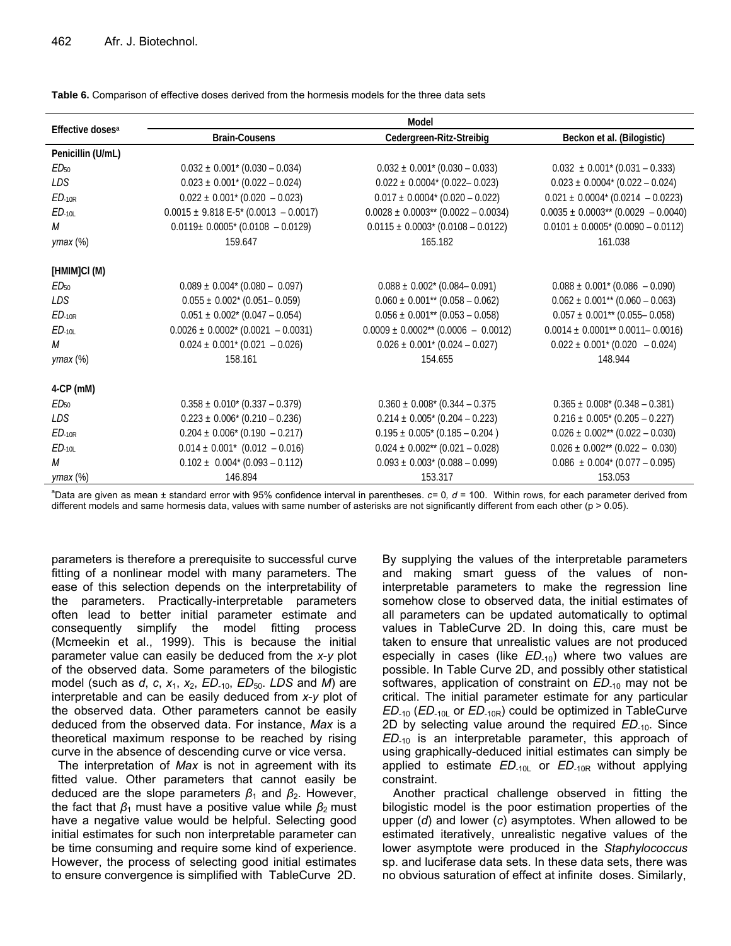| Effective doses <sup>a</sup> | Model                                          |                                                     |                                                 |  |  |
|------------------------------|------------------------------------------------|-----------------------------------------------------|-------------------------------------------------|--|--|
|                              | <b>Brain-Cousens</b>                           | Cedergreen-Ritz-Streibig                            | Beckon et al. (Bilogistic)                      |  |  |
| Penicillin (U/mL)            |                                                |                                                     |                                                 |  |  |
| ED <sub>50</sub>             | $0.032 \pm 0.001^* (0.030 - 0.034)$            | $0.032 \pm 0.001^* (0.030 - 0.033)$                 | $0.032 \pm 0.001^* (0.031 - 0.333)$             |  |  |
| LDS                          | $0.023 \pm 0.001^* (0.022 - 0.024)$            | $0.022 \pm 0.0004$ * (0.022 – 0.023)                | $0.023 \pm 0.0004^* (0.022 - 0.024)$            |  |  |
| $ED-10R$                     | $0.022 \pm 0.001^* (0.020 - 0.023)$            | $0.017 \pm 0.0004^*$ (0.020 - 0.022)                | $0.021 \pm 0.0004$ * (0.0214 - 0.0223)          |  |  |
| $ED_{-10L}$                  | $0.0015 \pm 9.818$ E-5* (0.0013 - 0.0017)      | $0.0028 \pm 0.0003$ <sup>**</sup> (0.0022 - 0.0034) | $0.0035 \pm 0.0003$ ** (0.0029 - 0.0040)        |  |  |
| M                            | $0.0119 \pm 0.0005$ * (0.0108 – 0.0129)        | $0.0115 \pm 0.0003$ * (0.0108 - 0.0122)             | $0.0101 \pm 0.0005$ * (0.0090 – 0.0112)         |  |  |
| $ymax$ $(\%)$                | 159.647                                        | 165.182                                             | 161.038                                         |  |  |
| [HMIM]CI (M)                 |                                                |                                                     |                                                 |  |  |
| ED <sub>50</sub>             | $0.089 \pm 0.004^* (0.080 - 0.097)$            | $0.088 \pm 0.002^* (0.084 - 0.091)$                 | $0.088 \pm 0.001^* (0.086 - 0.090)$             |  |  |
| LDS                          | $0.055 \pm 0.002^*$ (0.051 - 0.059)            | $0.060 \pm 0.001^{**}$ (0.058 - 0.062)              | $0.062 \pm 0.001^{**}$ (0.060 - 0.063)          |  |  |
| $ED-10R$                     | $0.051 \pm 0.002^* (0.047 - 0.054)$            | $0.056 \pm 0.001^{**}$ (0.053 - 0.058)              | $0.057 \pm 0.001^{**}$ (0.055 - 0.058)          |  |  |
| $ED$ -10L                    | $0.0026 \pm 0.0002^* (0.0021 - 0.0031)$        | $0.0009 \pm 0.0002^{**}$ (0.0006 - 0.0012)          | $0.0014 \pm 0.0001**0.0011-0.0016$              |  |  |
| М                            | $0.024 \pm 0.001^* (0.021 - 0.026)$            | $0.026 \pm 0.001^* (0.024 - 0.027)$                 | $0.022 \pm 0.001^* (0.020 - 0.024)$             |  |  |
| $ymax$ $(\%)$                | 158.161                                        | 154.655                                             | 148.944                                         |  |  |
| $4$ -CP (mM)                 |                                                |                                                     |                                                 |  |  |
| ED <sub>50</sub>             | $0.358 \pm 0.010^{*}$ (0.337 – 0.379)          | $0.360 \pm 0.008$ * (0.344 – 0.375)                 | $0.365 \pm 0.008^* (0.348 - 0.381)$             |  |  |
| LDS.                         | $0.223 \pm 0.006$ <sup>*</sup> (0.210 – 0.236) | $0.214 \pm 0.005$ * (0.204 – 0.223)                 | $0.216 \pm 0.005$ * (0.205 - 0.227)             |  |  |
| $ED$ -10 $R$                 | $0.204 \pm 0.006^{*}$ (0.190 - 0.217)          | $0.195 \pm 0.005$ * (0.185 - 0.204)                 | $0.026 \pm 0.002$ <sup>**</sup> (0.022 - 0.030) |  |  |
| $ED-10L$                     | $0.014 \pm 0.001^*$ (0.012 - 0.016)            | $0.024 \pm 0.002$ <sup>**</sup> (0.021 - 0.028)     | $0.026 \pm 0.002$ <sup>**</sup> (0.022 - 0.030) |  |  |
| M                            | $0.102 \pm 0.004^{*} (0.093 - 0.112)$          | $0.093 \pm 0.003$ * (0.088 - 0.099)                 | $0.086 \pm 0.004^* (0.077 - 0.095)$             |  |  |
| $ymax$ $(\%)$                | 146.894                                        | 153.317                                             | 153.053                                         |  |  |

**Table 6.** Comparison of effective doses derived from the hormesis models for the three data sets

a Data are given as mean ± standard error with 95% confidence interval in parentheses. *c=* 0*, d* = 100. Within rows, for each parameter derived from different models and same hormesis data, values with same number of asterisks are not significantly different from each other (p > 0.05).

parameters is therefore a prerequisite to successful curve fitting of a nonlinear model with many parameters. The ease of this selection depends on the interpretability of the parameters. Practically-interpretable parameters often lead to better initial parameter estimate and consequently simplify the model fitting process (Mcmeekin et al., 1999). This is because the initial parameter value can easily be deduced from the *x*-*y* plot of the observed data. Some parameters of the bilogistic model (such as *d*, *c*, *x*1, *x*2, *ED*-10, *ED*50. *LDS* and *M*) are interpretable and can be easily deduced from *x*-*y* plot of the observed data. Other parameters cannot be easily deduced from the observed data. For instance, *Max* is a theoretical maximum response to be reached by rising curve in the absence of descending curve or vice versa.

 The interpretation of *Max* is not in agreement with its fitted value. Other parameters that cannot easily be deduced are the slope parameters  $\beta_1$  and  $\beta_2$ . However, the fact that  $β_1$  must have a positive value while  $β_2$  must have a negative value would be helpful. Selecting good initial estimates for such non interpretable parameter can be time consuming and require some kind of experience. However, the process of selecting good initial estimates to ensure convergence is simplified with TableCurve 2D. By supplying the values of the interpretable parameters and making smart guess of the values of noninterpretable parameters to make the regression line somehow close to observed data, the initial estimates of all parameters can be updated automatically to optimal values in TableCurve 2D. In doing this, care must be taken to ensure that unrealistic values are not produced especially in cases (like *ED*-10) where two values are possible. In Table Curve 2D, and possibly other statistical softwares, application of constraint on *ED*-10 may not be critical. The initial parameter estimate for any particular *ED*-10 (*ED*-10L or *ED*-10R) could be optimized in TableCurve 2D by selecting value around the required *ED*-10. Since *ED*-10 is an interpretable parameter, this approach of using graphically-deduced initial estimates can simply be applied to estimate *ED*-10L or *ED*-10R without applying constraint.

Another practical challenge observed in fitting the bilogistic model is the poor estimation properties of the upper (*d*) and lower (*c*) asymptotes. When allowed to be estimated iteratively, unrealistic negative values of the lower asymptote were produced in the *Staphylococcus* sp. and luciferase data sets. In these data sets, there was no obvious saturation of effect at infinite doses. Similarly,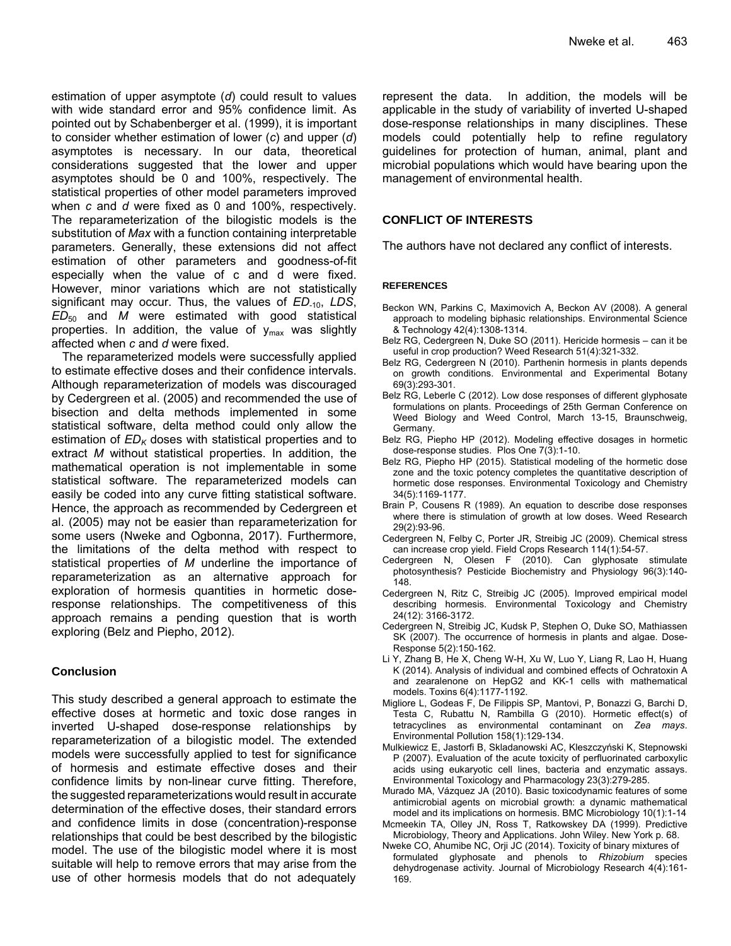estimation of upper asymptote (*d*) could result to values with wide standard error and 95% confidence limit. As pointed out by Schabenberger et al. (1999), it is important to consider whether estimation of lower (*c*) and upper (*d*) asymptotes is necessary. In our data, theoretical considerations suggested that the lower and upper asymptotes should be 0 and 100%, respectively. The statistical properties of other model parameters improved when *c* and *d* were fixed as 0 and 100%, respectively. The reparameterization of the bilogistic models is the substitution of *Max* with a function containing interpretable parameters. Generally, these extensions did not affect estimation of other parameters and goodness-of-fit especially when the value of c and d were fixed. However, minor variations which are not statistically significant may occur. Thus, the values of *ED<sub>-10</sub>, LDS*, *ED*50 and *M* were estimated with good statistical properties. In addition, the value of  $y_{max}$  was slightly affected when *c* and *d* were fixed.

The reparameterized models were successfully applied to estimate effective doses and their confidence intervals. Although reparameterization of models was discouraged by Cedergreen et al. (2005) and recommended the use of bisection and delta methods implemented in some statistical software, delta method could only allow the estimation of  $ED_K$  doses with statistical properties and to extract *M* without statistical properties. In addition, the mathematical operation is not implementable in some statistical software. The reparameterized models can easily be coded into any curve fitting statistical software. Hence, the approach as recommended by Cedergreen et al. (2005) may not be easier than reparameterization for some users (Nweke and Ogbonna, 2017). Furthermore, the limitations of the delta method with respect to statistical properties of *M* underline the importance of reparameterization as an alternative approach for exploration of hormesis quantities in hormetic doseresponse relationships. The competitiveness of this approach remains a pending question that is worth exploring (Belz and Piepho, 2012).

## **Conclusion**

This study described a general approach to estimate the effective doses at hormetic and toxic dose ranges in inverted U-shaped dose-response relationships by reparameterization of a bilogistic model. The extended models were successfully applied to test for significance of hormesis and estimate effective doses and their confidence limits by non-linear curve fitting. Therefore, the suggested reparameterizations would result in accurate determination of the effective doses, their standard errors and confidence limits in dose (concentration)-response relationships that could be best described by the bilogistic model. The use of the bilogistic model where it is most suitable will help to remove errors that may arise from the use of other hormesis models that do not adequately represent the data. In addition, the models will be applicable in the study of variability of inverted U-shaped dose-response relationships in many disciplines. These models could potentially help to refine regulatory guidelines for protection of human, animal, plant and microbial populations which would have bearing upon the management of environmental health.

## **CONFLICT OF INTERESTS**

The authors have not declared any conflict of interests.

### **REFERENCES**

- Beckon WN, Parkins C, Maximovich A, Beckon AV (2008). A general approach to modeling biphasic relationships. Environmental Science & Technology 42(4):1308-1314.
- Belz RG, Cedergreen N, Duke SO (2011). Hericide hormesis can it be useful in crop production? Weed Research 51(4):321-332.
- Belz RG, Cedergreen N (2010). Parthenin hormesis in plants depends on growth conditions. Environmental and Experimental Botany 69(3):293-301.
- Belz RG, Leberle C (2012). Low dose responses of different glyphosate formulations on plants. Proceedings of 25th German Conference on Weed Biology and Weed Control, March 13-15, Braunschweig, Germany.
- Belz RG, Piepho HP (2012). Modeling effective dosages in hormetic dose-response studies. Plos One 7(3):1-10.
- Belz RG, Piepho HP (2015). Statistical modeling of the hormetic dose zone and the toxic potency completes the quantitative description of hormetic dose responses. Environmental Toxicology and Chemistry 34(5):1169-1177.
- Brain P, Cousens R (1989). An equation to describe dose responses where there is stimulation of growth at low doses. Weed Research 29(2):93-96.
- Cedergreen N, Felby C, Porter JR, Streibig JC (2009). Chemical stress can increase crop yield. Field Crops Research 114(1):54-57.
- Cedergreen N, Olesen F (2010). Can glyphosate stimulate photosynthesis? Pesticide Biochemistry and Physiology 96(3):140- 148.
- Cedergreen N, Ritz C, Streibig JC (2005). Improved empirical model describing hormesis. Environmental Toxicology and Chemistry 24(12): 3166-3172.
- Cedergreen N, Streibig JC, Kudsk P, Stephen O, Duke SO, Mathiassen SK (2007). The occurrence of hormesis in plants and algae. Dose-Response 5(2):150-162.
- Li Y, Zhang B, He X, Cheng W-H, Xu W, Luo Y, Liang R, Lao H, Huang K (2014). Analysis of individual and combined effects of Ochratoxin A and zearalenone on HepG2 and KK-1 cells with mathematical models. Toxins 6(4):1177-1192.
- Migliore L, Godeas F, De Filippis SP, Mantovi, P, Bonazzi G, Barchi D, Testa C, Rubattu N, Rambilla G (2010). Hormetic effect(s) of tetracyclines as environmental contaminant on *Zea mays*. Environmental Pollution 158(1):129-134.
- Mulkiewicz E, Jastorfi B, Skladanowski AC, Kleszczyński K, Stepnowski P (2007). Evaluation of the acute toxicity of perfluorinated carboxylic acids using eukaryotic cell lines, bacteria and enzymatic assays. Environmental Toxicology and Pharmacology 23(3):279-285.
- Murado MA, Vázquez JA (2010). Basic toxicodynamic features of some antimicrobial agents on microbial growth: a dynamic mathematical model and its implications on hormesis. BMC Microbiology 10(1):1-14
- Mcmeekin TA, Olley JN, Ross T, Ratkowskey DA (1999). Predictive Microbiology, Theory and Applications. John Wiley. New York p. 68.
- Nweke CO, Ahumibe NC, Orji JC (2014). Toxicity of binary mixtures of formulated glyphosate and phenols to *Rhizobium* species dehydrogenase activity. Journal of Microbiology Research 4(4):161- 169.